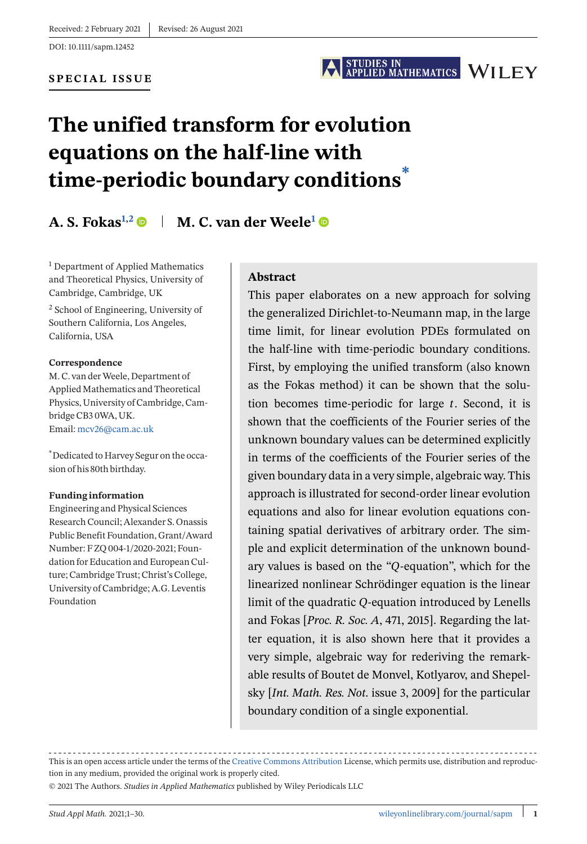DOI: 10.1111/sapm.12452

#### **SPECIAL ISSUE**

# STUDIES IN<br>APPLIED MATHEMATICS WILEY

# **The unified transform for evolution equations on the half-line with time-periodic boundary conditions\***

# **A. S. Fokas<sup>1,2</sup>**  $\bullet$  **| M. C. van der Weele<sup>1</sup>**  $\bullet$

<sup>1</sup> Department of Applied Mathematics and Theoretical Physics, University of Cambridge, Cambridge, UK

<sup>2</sup> School of Engineering, University of Southern California, Los Angeles, California, USA

#### **Correspondence**

M. C. van derWeele, Department of Applied Mathematics and Theoretical Physics, University of Cambridge, Cambridge CB3 0WA, UK. Email: [mcv26@cam.ac.uk](mailto:mcv26@cam.ac.uk)

\*Dedicated to Harvey Segur on the occasion of his 80th birthday.

#### **Funding information**

Engineering and Physical Sciences Research Council; Alexander S. Onassis Public Benefit Foundation, Grant/Award Number: F ZQ 004-1/2020-2021; Foundation for Education and European Culture; Cambridge Trust; Christ's College, University of Cambridge; A.G. Leventis Foundation

#### **Abstract**

This paper elaborates on a new approach for solving the generalized Dirichlet-to-Neumann map, in the large time limit, for linear evolution PDEs formulated on the half-line with time-periodic boundary conditions. First, by employing the unified transform (also known as the Fokas method) it can be shown that the solution becomes time-periodic for large  $t$ . Second, it is shown that the coefficients of the Fourier series of the unknown boundary values can be determined explicitly in terms of the coefficients of the Fourier series of the given boundary data in a very simple, algebraic way. This approach is illustrated for second-order linear evolution equations and also for linear evolution equations containing spatial derivatives of arbitrary order. The simple and explicit determination of the unknown boundary values is based on the " $Q$ -equation", which for the linearized nonlinear Schrödinger equation is the linear limit of the quadratic Q-equation introduced by Lenells and Fokas [*Proc. R. Soc. A*, 471, 2015]. Regarding the latter equation, it is also shown here that it provides a very simple, algebraic way for rederiving the remarkable results of Boutet de Monvel, Kotlyarov, and Shepelsky [*Int. Math. Res. Not*. issue 3, 2009] for the particular boundary condition of a single exponential.

This is an open access article under the terms of the [Creative Commons Attribution](http://creativecommons.org/licenses/by/4.0/) License, which permits use, distribution and reproduction in any medium, provided the original work is properly cited.

© 2021 The Authors. *Studies in Applied Mathematics* published by Wiley Periodicals LLC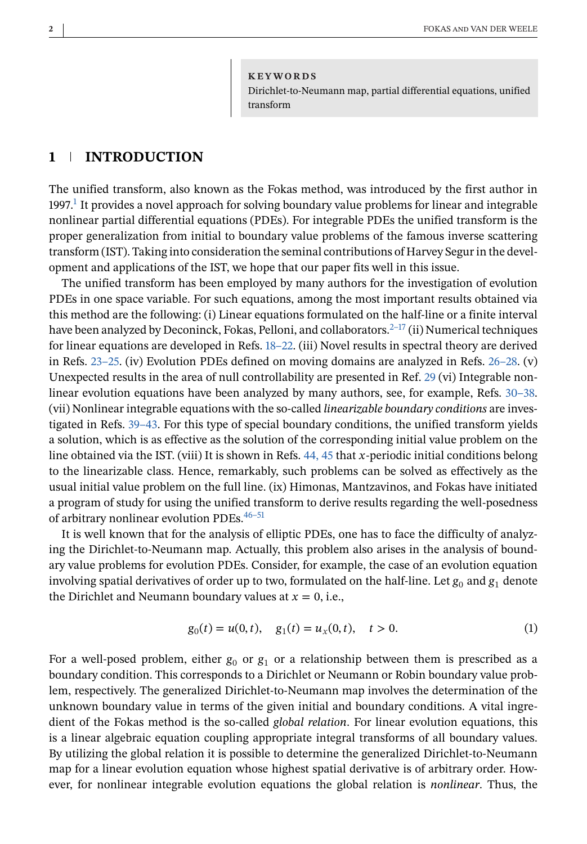**KEYWORDS** Dirichlet-to-Neumann map, partial differential equations, unified transform

#### **1 INTRODUCTION**

The unified transform, also known as the Fokas method, was introduced by the first author in  $1997<sup>1</sup>$  It provides a novel approach for solving boundary value problems for linear and integrable nonlinear partial differential equations (PDEs). For integrable PDEs the unified transform is the proper generalization from initial to boundary value problems of the famous inverse scattering transform (IST). Taking into consideration the seminal contributions of Harvey Segur in the development and applications of the IST, we hope that our paper fits well in this issue.

The unified transform has been employed by many authors for the investigation of evolution PDEs in one space variable. For such equations, among the most important results obtained via this method are the following: (i) Linear equations formulated on the half-line or a finite interval have been analyzed by Deconinck, Fokas, Pelloni, and collaborators. $2^{-17}$  (ii) Numerical techniques for linear equations are developed in Refs. [18–22.](#page-27-0) (iii) Novel results in spectral theory are derived in Refs. [23–25.](#page-27-0) (iv) Evolution PDEs defined on moving domains are analyzed in Refs. [26–28.](#page-27-0) (v) Unexpected results in the area of null controllability are presented in Ref. [29](#page-27-0) (vi) Integrable nonlinear evolution equations have been analyzed by many authors, see, for example, Refs. [30–38.](#page-27-0) (vii) Nonlinear integrable equations with the so-called *linearizable boundary conditions* are investigated in Refs. [39–43.](#page-28-0) For this type of special boundary conditions, the unified transform yields a solution, which is as effective as the solution of the corresponding initial value problem on the line obtained via the IST. (viii) It is shown in Refs. [44, 45](#page-28-0) that x-periodic initial conditions belong to the linearizable class. Hence, remarkably, such problems can be solved as effectively as the usual initial value problem on the full line. (ix) Himonas, Mantzavinos, and Fokas have initiated a program of study for using the unified transform to derive results regarding the well-posedness of arbitrary nonlinear evolution PDEs.<sup>46-51</sup>

It is well known that for the analysis of elliptic PDEs, one has to face the difficulty of analyzing the Dirichlet-to-Neumann map. Actually, this problem also arises in the analysis of boundary value problems for evolution PDEs. Consider, for example, the case of an evolution equation involving spatial derivatives of order up to two, formulated on the half-line. Let  $g_0$  and  $g_1$  denote the Dirichlet and Neumann boundary values at  $x = 0$ , i.e.,

$$
g_0(t) = u(0, t), \quad g_1(t) = u_x(0, t), \quad t > 0.
$$
 (1)

For a well-posed problem, either  $g_0$  or  $g_1$  or a relationship between them is prescribed as a boundary condition. This corresponds to a Dirichlet or Neumann or Robin boundary value problem, respectively. The generalized Dirichlet-to-Neumann map involves the determination of the unknown boundary value in terms of the given initial and boundary conditions. A vital ingredient of the Fokas method is the so-called *global relation*. For linear evolution equations, this is a linear algebraic equation coupling appropriate integral transforms of all boundary values. By utilizing the global relation it is possible to determine the generalized Dirichlet-to-Neumann map for a linear evolution equation whose highest spatial derivative is of arbitrary order. However, for nonlinear integrable evolution equations the global relation is *nonlinear*. Thus, the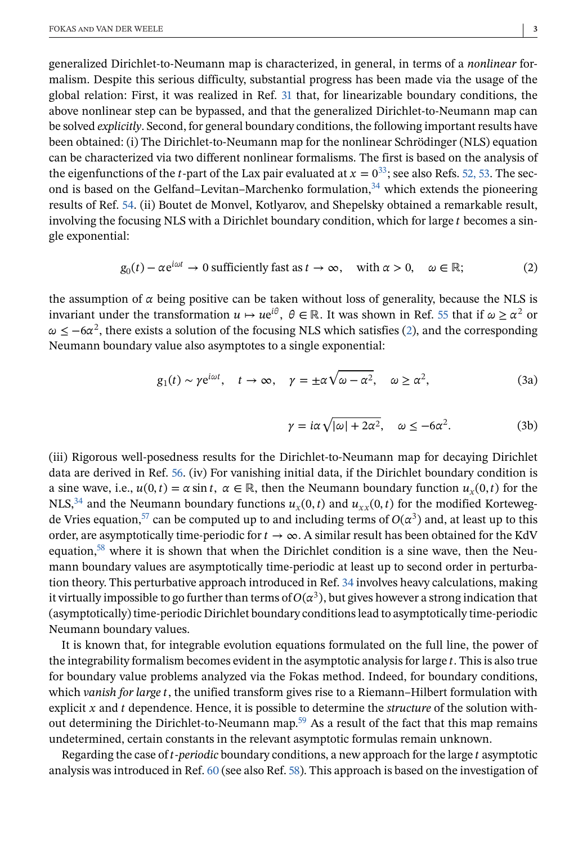<span id="page-2-0"></span>generalized Dirichlet-to-Neumann map is characterized, in general, in terms of a *nonlinear* formalism. Despite this serious difficulty, substantial progress has been made via the usage of the global relation: First, it was realized in Ref. [31](#page-28-0) that, for linearizable boundary conditions, the above nonlinear step can be bypassed, and that the generalized Dirichlet-to-Neumann map can be solved *explicitly*. Second, for general boundary conditions, the following important results have been obtained: (i) The Dirichlet-to-Neumann map for the nonlinear Schrödinger (NLS) equation can be characterized via two different nonlinear formalisms. The first is based on the analysis of the eigenfunctions of the *t*-part of the Lax pair evaluated at  $x = 0^{33}$ ; see also Refs. [52, 53.](#page-28-0) The second is based on the Gelfand–Levitan–Marchenko formulation, $34$  which extends the pioneering results of Ref. [54.](#page-28-0) (ii) Boutet de Monvel, Kotlyarov, and Shepelsky obtained a remarkable result, involving the focusing NLS with a Dirichlet boundary condition, which for large  $t$  becomes a single exponential:

$$
g_0(t) - \alpha e^{i\omega t} \to 0
$$
 sufficiently fast as  $t \to \infty$ , with  $\alpha > 0$ ,  $\omega \in \mathbb{R}$ ; (2)

the assumption of  $\alpha$  being positive can be taken without loss of generality, because the NLS is invariant under the transformation  $u \mapsto ue^{i\theta}$ ,  $\theta \in \mathbb{R}$ . It was shown in Ref. [55](#page-29-0) that if  $\omega \ge \alpha^2$  or  $\omega \le -6\alpha^2$ , there exists a solution of the focusing NLS which satisfies (2), and the corresponding Neumann boundary value also asymptotes to a single exponential:

$$
g_1(t) \sim \gamma e^{i\omega t}, \quad t \to \infty, \quad \gamma = \pm \alpha \sqrt{\omega - \alpha^2}, \quad \omega \ge \alpha^2,
$$
 (3a)

$$
\gamma = i\alpha \sqrt{|\omega| + 2\alpha^2}, \quad \omega \le -6\alpha^2. \tag{3b}
$$

(iii) Rigorous well-posedness results for the Dirichlet-to-Neumann map for decaying Dirichlet data are derived in Ref. [56.](#page-29-0) (iv) For vanishing initial data, if the Dirichlet boundary condition is a sine wave, i.e.,  $u(0, t) = \alpha \sin t$ ,  $\alpha \in \mathbb{R}$ , then the Neumann boundary function  $u_x(0, t)$  for the NLS,<sup>34</sup> and the Neumann boundary functions  $u_x(0, t)$  and  $u_{xx}(0, t)$  for the modified Kortewegde Vries equation,<sup>57</sup> can be computed up to and including terms of  $O(\alpha^3)$  and, at least up to this order, are asymptotically time-periodic for  $t \to \infty$ . A similar result has been obtained for the KdV equation, $58$  where it is shown that when the Dirichlet condition is a sine wave, then the Neumann boundary values are asymptotically time-periodic at least up to second order in perturbation theory. This perturbative approach introduced in Ref. [34](#page-28-0) involves heavy calculations, making it virtually impossible to go further than terms of  $O(\alpha^3)$ , but gives however a strong indication that (asymptotically) time-periodic Dirichlet boundary conditions lead to asymptotically time-periodic Neumann boundary values.

It is known that, for integrable evolution equations formulated on the full line, the power of the integrability formalism becomes evident in the asymptotic analysis for large  $t$ . This is also true for boundary value problems analyzed via the Fokas method. Indeed, for boundary conditions, which *vanish for large t*, the unified transform gives rise to a Riemann–Hilbert formulation with explicit  $x$  and  $t$  dependence. Hence, it is possible to determine the *structure* of the solution without determining the Dirichlet-to-Neumann map.<sup>59</sup> As a result of the fact that this map remains undetermined, certain constants in the relevant asymptotic formulas remain unknown.

Regarding the case of *t-periodic* boundary conditions, a new approach for the large *t* asymptotic analysis was introduced in Ref. [60](#page-29-0) (see also Ref. [58\)](#page-29-0). This approach is based on the investigation of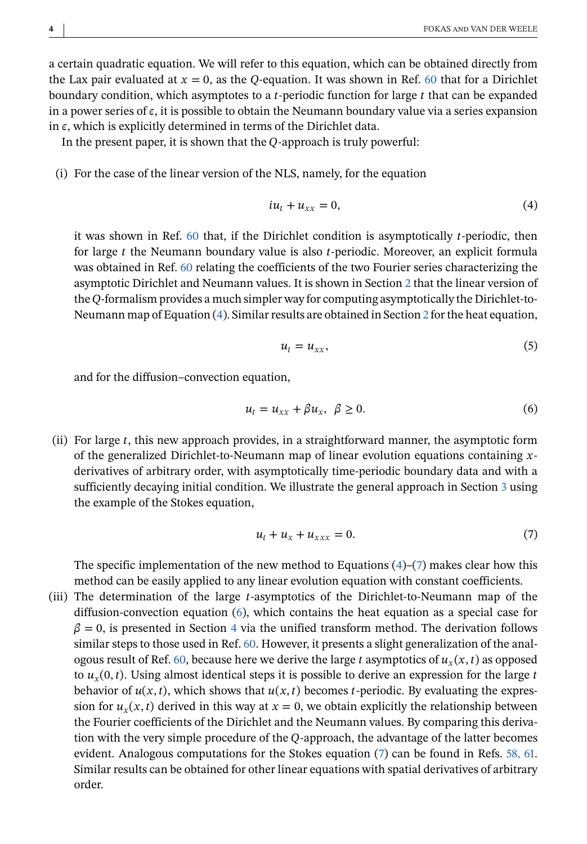<span id="page-3-0"></span>a certain quadratic equation. We will refer to this equation, which can be obtained directly from the Lax pair evaluated at  $x = 0$ , as the Q-equation. It was shown in Ref. [60](#page-29-0) that for a Dirichlet boundary condition, which asymptotes to a *t*-periodic function for large  $t$  that can be expanded in a power series of  $\epsilon$ , it is possible to obtain the Neumann boundary value via a series expansion in  $\epsilon$ , which is explicitly determined in terms of the Dirichlet data.

In the present paper, it is shown that the  $Q$ -approach is truly powerful:

(i) For the case of the linear version of the NLS, namely, for the equation

$$
iu_t + u_{xx} = 0,\t\t(4)
$$

it was shown in Ref.  $60$  that, if the Dirichlet condition is asymptotically *t*-periodic, then for large  $t$  the Neumann boundary value is also  $t$ -periodic. Moreover, an explicit formula was obtained in Ref. [60](#page-29-0) relating the coefficients of the two Fourier series characterizing the asymptotic Dirichlet and Neumann values. It is shown in Section [2](#page-4-0) that the linear version of the Q-formalism provides a much simpler way for computing asymptotically the Dirichlet-to-Neumann map of Equation (4). Similar results are obtained in Section [2](#page-4-0) for the heat equation,

$$
u_t = u_{xx},\tag{5}
$$

and for the diffusion–convection equation,

$$
u_t = u_{xx} + \beta u_x, \ \beta \ge 0. \tag{6}
$$

(ii) For large  $t$ , this new approach provides, in a straightforward manner, the asymptotic form of the generalized Dirichlet-to-Neumann map of linear evolution equations containing  $x$ derivatives of arbitrary order, with asymptotically time-periodic boundary data and with a sufficiently decaying initial condition. We illustrate the general approach in Section [3](#page-9-0) using the example of the Stokes equation,

$$
u_t + u_x + u_{xxx} = 0. \tag{7}
$$

The specific implementation of the new method to Equations  $(4)-(7)$  makes clear how this method can be easily applied to any linear evolution equation with constant coefficients.

(iii) The determination of the large -asymptotics of the Dirichlet-to-Neumann map of the diffusion-convection equation (6), which contains the heat equation as a special case for  $\beta = 0$ , is presented in Section [4](#page-13-0) via the unified transform method. The derivation follows similar steps to those used in Ref. [60.](#page-29-0) However, it presents a slight generalization of the anal-ogous result of Ref. [60,](#page-29-0) because here we derive the large t asymptotics of  $u_x(x, t)$  as opposed to  $u_x(0, t)$ . Using almost identical steps it is possible to derive an expression for the large t behavior of  $u(x, t)$ , which shows that  $u(x, t)$  becomes t-periodic. By evaluating the expression for  $u_x(x, t)$  derived in this way at  $x = 0$ , we obtain explicitly the relationship between the Fourier coefficients of the Dirichlet and the Neumann values. By comparing this derivation with the very simple procedure of the  $Q$ -approach, the advantage of the latter becomes evident. Analogous computations for the Stokes equation (7) can be found in Refs. [58, 61.](#page-29-0) Similar results can be obtained for other linear equations with spatial derivatives of arbitrary order.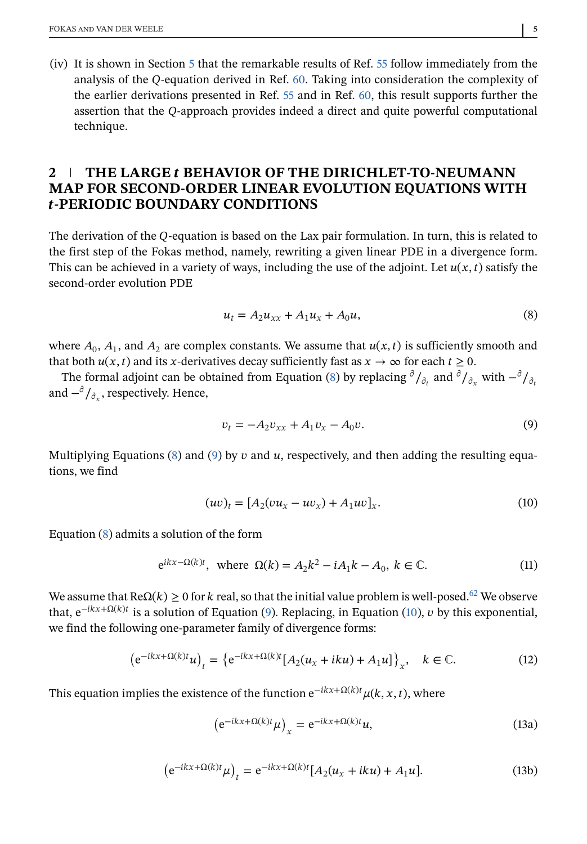<span id="page-4-0"></span>(iv) It is shown in Section [5](#page-22-0) that the remarkable results of Ref. [55](#page-29-0) follow immediately from the analysis of the  $Q$ -equation derived in Ref. [60.](#page-29-0) Taking into consideration the complexity of the earlier derivations presented in Ref. [55](#page-29-0) and in Ref. [60,](#page-29-0) this result supports further the assertion that the O-approach provides indeed a direct and quite powerful computational technique.

## **2 THE LARGE BEHAVIOR OF THE DIRICHLET-TO-NEUMANN MAP FOR SECOND-ORDER LINEAR EVOLUTION EQUATIONS WITH -PERIODIC BOUNDARY CONDITIONS**

The derivation of the  $Q$ -equation is based on the Lax pair formulation. In turn, this is related to the first step of the Fokas method, namely, rewriting a given linear PDE in a divergence form. This can be achieved in a variety of ways, including the use of the adjoint. Let  $u(x, t)$  satisfy the second-order evolution PDE

$$
u_t = A_2 u_{xx} + A_1 u_x + A_0 u, \tag{8}
$$

where  $A_0$ ,  $A_1$ , and  $A_2$  are complex constants. We assume that  $u(x, t)$  is sufficiently smooth and that both  $u(x, t)$  and its x-derivatives decay sufficiently fast as  $x \to \infty$  for each  $t \ge 0$ .

The formal adjoint can be obtained from Equation (8) by replacing  $\partial/\partial$  and  $\partial/\partial$  with  $-\partial/\partial$ . and  $-\frac{\partial}{\partial y}$ , respectively. Hence,

$$
v_t = -A_2 v_{xx} + A_1 v_x - A_0 v. \tag{9}
$$

Multiplying Equations (8) and (9) by  $v$  and  $u$ , respectively, and then adding the resulting equations, we find

$$
(uv)_t = [A_2(vu_x - uv_x) + A_1uv]_x.
$$
 (10)

Equation (8) admits a solution of the form

$$
e^{ikx - \Omega(k)t}, \text{ where } \Omega(k) = A_2 k^2 - iA_1 k - A_0, \ k \in \mathbb{C}.\tag{11}
$$

We assume that  $\text{Re}\Omega(k) \geq 0$  for k real, so that the initial value problem is well-posed.<sup>62</sup> We observe that,  $e^{-ikx+\Omega(k)t}$  is a solution of Equation (9). Replacing, in Equation (10), v by this exponential, we find the following one-parameter family of divergence forms:

$$
(e^{-ikx+\Omega(k)t}u)_t = \{e^{-ikx+\Omega(k)t}[A_2(u_x+iku)+A_1u]\}_x, \quad k \in \mathbb{C}.\tag{12}
$$

This equation implies the existence of the function  $e^{-ikx+\Omega(k)t} \mu(k, x, t)$ , where

$$
\left(e^{-ikx+\Omega(k)t}\mu\right)_x = e^{-ikx+\Omega(k)t}u,\tag{13a}
$$

$$
(e^{-ikx+\Omega(k)t}\mu)_t = e^{-ikx+\Omega(k)t}[A_2(u_x+iku) + A_1u].
$$
 (13b)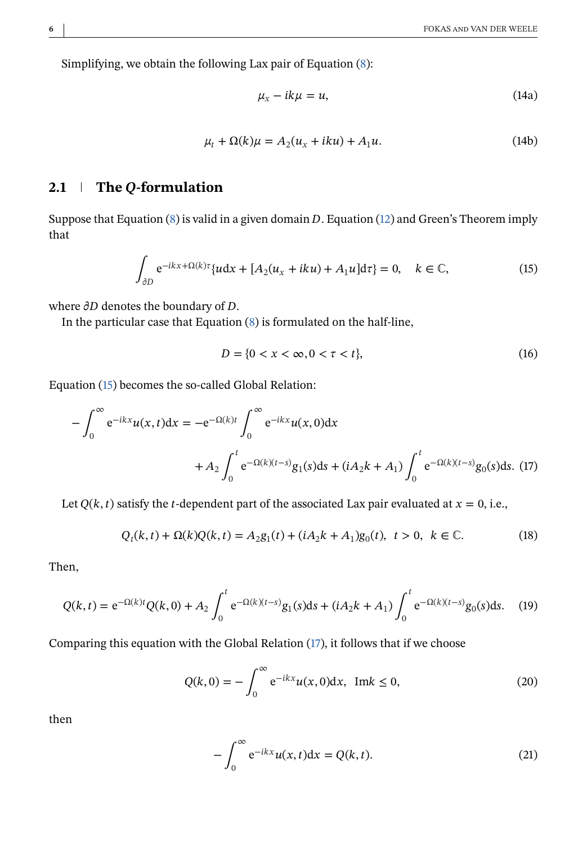<span id="page-5-0"></span>Simplifying, we obtain the following Lax pair of Equation [\(8\)](#page-4-0):

$$
\mu_x - ik\mu = u,\tag{14a}
$$

$$
\mu_t + \Omega(k)\mu = A_2(u_x + iku) + A_1u.
$$
 (14b)

## **2.1 The Q-formulation**

Suppose that Equation [\(8\)](#page-4-0) is valid in a given domain  $D$ . Equation [\(12\)](#page-4-0) and Green's Theorem imply that

$$
\int_{\partial D} e^{-ikx + \Omega(k)\tau} \{ u \, dx + [A_2(u_x + iku) + A_1 u] \, d\tau \} = 0, \quad k \in \mathbb{C},
$$
\n(15)

where  $\partial D$  denotes the boundary of  $D$ .

In the particular case that Equation [\(8\)](#page-4-0) is formulated on the half-line,

$$
D = \{0 < x < \infty, 0 < \tau < t\},\tag{16}
$$

Equation (15) becomes the so-called Global Relation:

$$
-\int_0^\infty e^{-ikx}u(x,t)dx = -e^{-\Omega(k)t} \int_0^\infty e^{-ikx}u(x,0)dx
$$
  
+  $A_2 \int_0^t e^{-\Omega(k)(t-s)}g_1(s)ds + (iA_2k + A_1) \int_0^t e^{-\Omega(k)(t-s)}g_0(s)ds.$  (17)

Let  $Q(k, t)$  satisfy the *t*-dependent part of the associated Lax pair evaluated at  $x = 0$ , i.e.,

$$
Q_t(k,t) + \Omega(k)Q(k,t) = A_2 g_1(t) + (iA_2k + A_1)g_0(t), \ t > 0, \ k \in \mathbb{C}.
$$
 (18)

Then,

$$
Q(k,t) = e^{-\Omega(k)t}Q(k,0) + A_2 \int_0^t e^{-\Omega(k)(t-s)}g_1(s)ds + (iA_2k + A_1) \int_0^t e^{-\Omega(k)(t-s)}g_0(s)ds.
$$
 (19)

Comparing this equation with the Global Relation (17), it follows that if we choose

$$
Q(k,0) = -\int_0^\infty e^{-ikx} u(x,0) dx, \text{ Im } k \le 0,
$$
 (20)

then

$$
-\int_0^\infty e^{-ikx}u(x,t)dx = Q(k,t).
$$
 (21)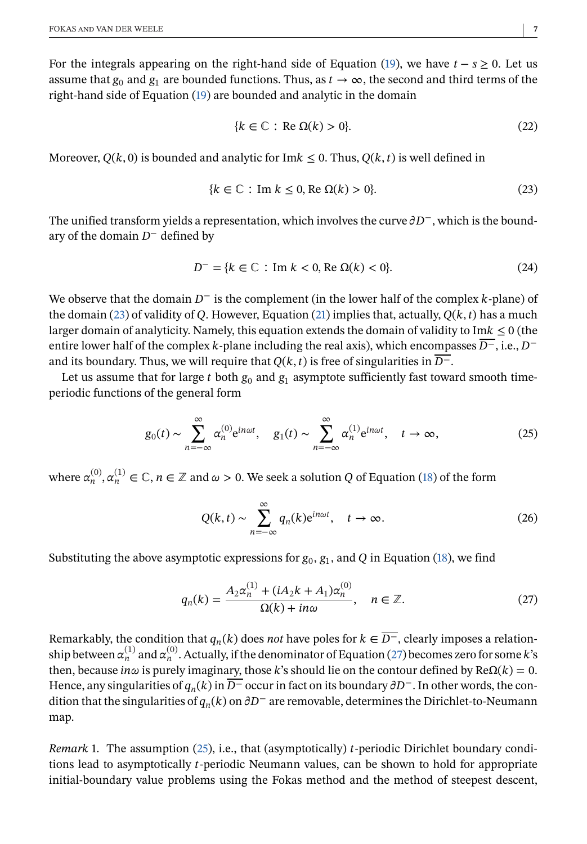<span id="page-6-0"></span>For the integrals appearing on the right-hand side of Equation [\(19\)](#page-5-0), we have  $t - s \ge 0$ . Let us assume that  $g_0$  and  $g_1$  are bounded functions. Thus, as  $t \to \infty$ , the second and third terms of the right-hand side of Equation [\(19\)](#page-5-0) are bounded and analytic in the domain

$$
\{k \in \mathbb{C} : \text{Re } \Omega(k) > 0\}.
$$
\n(22)

Moreover,  $O(k, 0)$  is bounded and analytic for Im $k \leq 0$ . Thus,  $O(k, t)$  is well defined in

$$
\{k \in \mathbb{C} : \text{Im } k \le 0, \text{Re } \Omega(k) > 0\}.
$$
\n
$$
(23)
$$

The unified transform yields a representation, which involves the curve  $\partial D^-$ , which is the boundary of the domain  $D^-$  defined by

$$
D^{-} = \{k \in \mathbb{C} : \text{Im } k < 0, \text{Re } \Omega(k) < 0\}.\tag{24}
$$

We observe that the domain  $D^-$  is the complement (in the lower half of the complex k-plane) of the domain (23) of validity of Q. However, Equation [\(21\)](#page-5-0) implies that, actually,  $Q(k, t)$  has a much larger domain of analyticity. Namely, this equation extends the domain of validity to Im $k \leq 0$  (the entire lower half of the complex k-plane including the real axis), which encompasses  $\overline{D}^-$ , i.e.,  $D^$ and its boundary. Thus, we will require that  $Q(k, t)$  is free of singularities in  $\overline{D^{-}}$ .

Let us assume that for large  $t$  both  $g_0$  and  $g_1$  asymptote sufficiently fast toward smooth timeperiodic functions of the general form

$$
g_0(t) \sim \sum_{n=-\infty}^{\infty} \alpha_n^{(0)} e^{in\omega t}, \quad g_1(t) \sim \sum_{n=-\infty}^{\infty} \alpha_n^{(1)} e^{in\omega t}, \quad t \to \infty,
$$
 (25)

where  $\alpha_n^{(0)}, \alpha_n^{(1)} \in \mathbb{C}$ ,  $n \in \mathbb{Z}$  and  $\omega > 0$ . We seek a solution Q of Equation [\(18\)](#page-5-0) of the form

$$
Q(k,t) \sim \sum_{n=-\infty}^{\infty} q_n(k) e^{in\omega t}, \quad t \to \infty.
$$
 (26)

Substituting the above asymptotic expressions for  $g_0$ ,  $g_1$ , and Q in Equation [\(18\)](#page-5-0), we find

$$
q_n(k) = \frac{A_2 \alpha_n^{(1)} + (iA_2 k + A_1) \alpha_n^{(0)}}{\Omega(k) + in\omega}, \quad n \in \mathbb{Z}.
$$
 (27)

Remarkably, the condition that  $q_n(k)$  does *not* have poles for  $k \in \overline{D}$ , clearly imposes a relationship between  $\alpha_n^{(1)}$  and  $\alpha_n^{(0)}$ . Actually, if the denominator of Equation (27) becomes zero for some k's then, because in $\omega$  is purely imaginary, those k's should lie on the contour defined by Re $\Omega(k) = 0$ . Hence, any singularities of  $q_n(k)$  in  $\overline{D}^-$  occur in fact on its boundary  $\partial D^-$ . In other words, the condition that the singularities of  $q_n(k)$  on  $\partial D^-$  are removable, determines the Dirichlet-to-Neumann map.

*Remark* 1. The assumption  $(25)$ , i.e., that (asymptotically) *t*-periodic Dirichlet boundary conditions lead to asymptotically  $t$ -periodic Neumann values, can be shown to hold for appropriate initial-boundary value problems using the Fokas method and the method of steepest descent,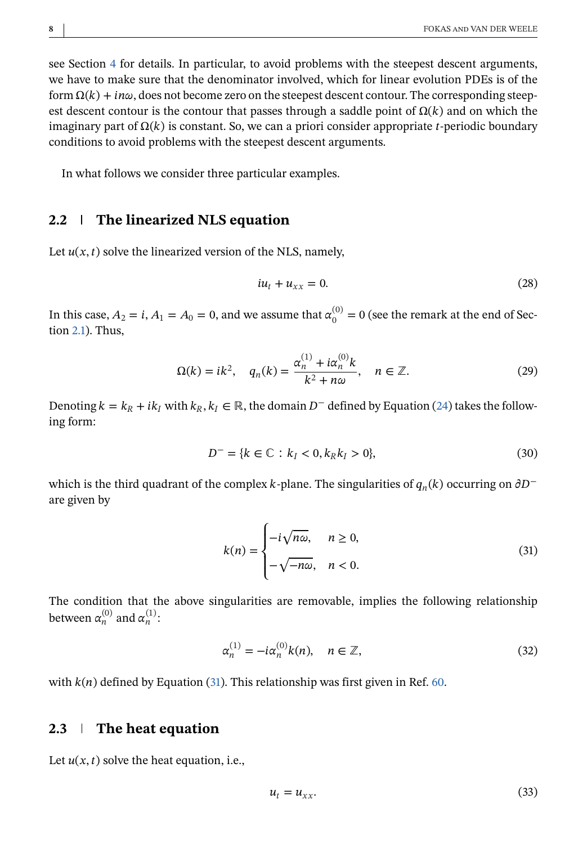see Section [4](#page-13-0) for details. In particular, to avoid problems with the steepest descent arguments, we have to make sure that the denominator involved, which for linear evolution PDEs is of the form  $\Omega(k) + in\omega$ , does not become zero on the steepest descent contour. The corresponding steepest descent contour is the contour that passes through a saddle point of  $\Omega(k)$  and on which the imaginary part of  $\Omega(k)$  is constant. So, we can a priori consider appropriate t-periodic boundary conditions to avoid problems with the steepest descent arguments.

In what follows we consider three particular examples.

#### **2.2 The linearized NLS equation**

Let  $u(x, t)$  solve the linearized version of the NLS, namely,

$$
iu_t + u_{xx} = 0. \t\t(28)
$$

In this case,  $A_2=i, A_1=A_0=0,$  and we assume that  $\alpha_0^{(0)}=0$  (see the remark at the end of Section [2.1\)](#page-5-0). Thus,

$$
\Omega(k) = ik^2, \quad q_n(k) = \frac{\alpha_n^{(1)} + i\alpha_n^{(0)}k}{k^2 + n\omega}, \quad n \in \mathbb{Z}.
$$
 (29)

Denoting  $k = k_R + ik_I$  with  $k_R, k_I \in \mathbb{R}$ , the domain  $D^-$  defined by Equation [\(24\)](#page-6-0) takes the following form:

$$
D^{-} = \{k \in \mathbb{C} : k_{I} < 0, k_{R}k_{I} > 0\},\tag{30}
$$

which is the third quadrant of the complex k-plane. The singularities of  $q_n(k)$  occurring on  $\partial D^$ are given by

$$
k(n) = \begin{cases} -i\sqrt{n\omega}, & n \ge 0, \\ -\sqrt{-n\omega}, & n < 0. \end{cases}
$$
(31)

The condition that the above singularities are removable, implies the following relationship between  $\alpha_n^{(0)}$  and  $\alpha_n^{(1)}$ :

$$
\alpha_n^{(1)} = -i\alpha_n^{(0)}k(n), \quad n \in \mathbb{Z},\tag{32}
$$

with  $k(n)$  defined by Equation (31). This relationship was first given in Ref. [60.](#page-29-0)

## **2.3 The heat equation**

Let  $u(x, t)$  solve the heat equation, i.e.,

$$
u_t = u_{xx}.\tag{33}
$$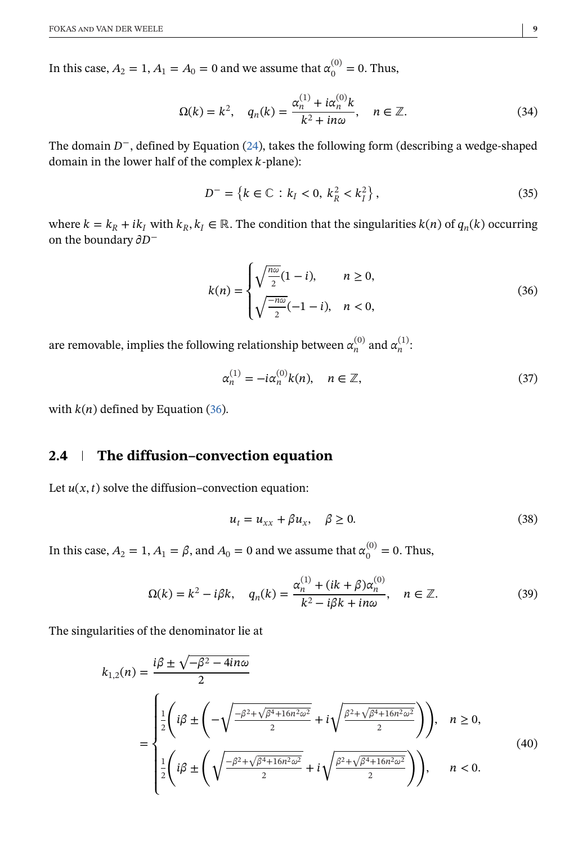<span id="page-8-0"></span>In this case,  $A_2 = 1, A_1 = A_0 = 0$  and we assume that  $\alpha_0^{(0)} = 0$ . Thus,

$$
\Omega(k) = k^2, \quad q_n(k) = \frac{\alpha_n^{(1)} + i\alpha_n^{(0)}k}{k^2 + i n\omega}, \quad n \in \mathbb{Z}.
$$

The domain  $D^-$ , defined by Equation [\(24\)](#page-6-0), takes the following form (describing a wedge-shaped domain in the lower half of the complex  $k$ -plane):

$$
D^{-} = \{k \in \mathbb{C} : k_{I} < 0, \ k_{R}^{2} < k_{I}^{2}\},\tag{35}
$$

where  $k = k_R + ik_I$  with  $k_R, k_I \in \mathbb{R}$ . The condition that the singularities  $k(n)$  of  $q_n(k)$  occurring on the boundary  $\partial D^-$ 

$$
k(n) = \begin{cases} \sqrt{\frac{n\omega}{2}}(1-i), & n \ge 0, \\ \sqrt{\frac{-n\omega}{2}}(-1-i), & n < 0, \end{cases}
$$
 (36)

are removable, implies the following relationship between  $\alpha_n^{(0)}$  and  $\alpha_n^{(1)}$ :

$$
\alpha_n^{(1)} = -i\alpha_n^{(0)}k(n), \quad n \in \mathbb{Z},\tag{37}
$$

with  $k(n)$  defined by Equation (36).

# **2.4 The diffusion–convection equation**

Let  $u(x, t)$  solve the diffusion–convection equation:

$$
u_t = u_{xx} + \beta u_x, \quad \beta \ge 0. \tag{38}
$$

In this case,  $A_2 = 1, A_1 = \beta$ , and  $A_0 = 0$  and we assume that  $\alpha_0^{(0)} = 0$ . Thus,

$$
\Omega(k) = k^2 - i\beta k, \quad q_n(k) = \frac{\alpha_n^{(1)} + (ik + \beta)\alpha_n^{(0)}}{k^2 - i\beta k + in\omega}, \quad n \in \mathbb{Z}.
$$
 (39)

The singularities of the denominator lie at

$$
k_{1,2}(n) = \frac{i\beta \pm \sqrt{-\beta^2 - 4in\omega}}{2}
$$
  
= 
$$
\begin{cases} \frac{1}{2} \left( i\beta \pm \left( -\sqrt{\frac{-\beta^2 + \sqrt{\beta^4 + 16n^2\omega^2}}{2}} + i\sqrt{\frac{\beta^2 + \sqrt{\beta^4 + 16n^2\omega^2}}{2}} \right) \right), & n \ge 0, \\ \frac{1}{2} \left( i\beta \pm \left( \sqrt{\frac{-\beta^2 + \sqrt{\beta^4 + 16n^2\omega^2}}{2}} + i\sqrt{\frac{\beta^2 + \sqrt{\beta^4 + 16n^2\omega^2}}{2}} \right) \right), & n < 0. \end{cases}
$$
(40)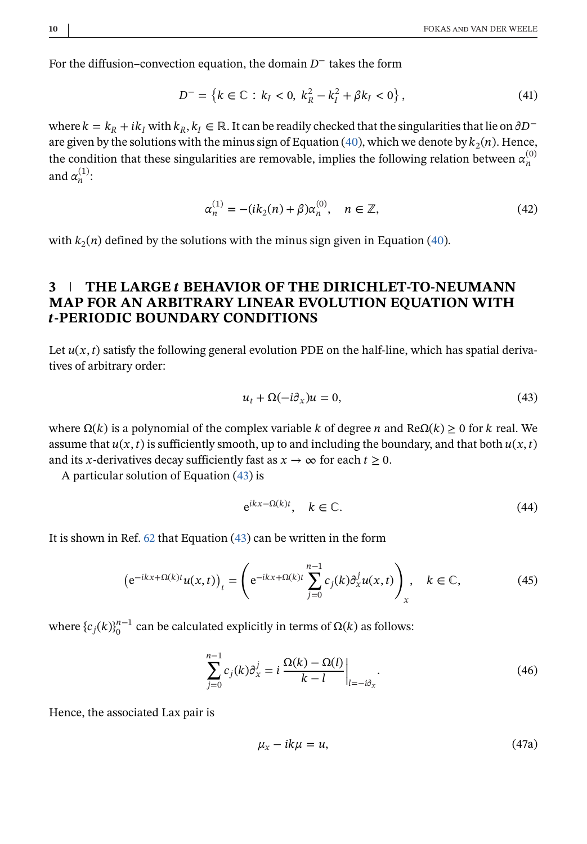<span id="page-9-0"></span>For the diffusion–convection equation, the domain  $D^-$  takes the form

$$
D^{-} = \{k \in \mathbb{C} : k_{I} < 0, \ k_{R}^{2} - k_{I}^{2} + \beta k_{I} < 0\},\tag{41}
$$

where  $k = k_R + ik_I$  with  $k_R, k_I \in \mathbb{R}$ . It can be readily checked that the singularities that lie on  $\partial D^-$ are given by the solutions with the minus sign of Equation [\(40\)](#page-8-0), which we denote by  $k_2(n)$ . Hence, the condition that these singularities are removable, implies the following relation between  $\alpha_n^{(0)}$ and  $\alpha_n^{(1)}$ :

$$
\alpha_n^{(1)} = -(ik_2(n) + \beta)\alpha_n^{(0)}, \quad n \in \mathbb{Z},
$$
\n(42)

with  $k_2(n)$  defined by the solutions with the minus sign given in Equation [\(40\)](#page-8-0).

## **3 THE LARGE BEHAVIOR OF THE DIRICHLET-TO-NEUMANN MAP FOR AN ARBITRARY LINEAR EVOLUTION EQUATION WITH -PERIODIC BOUNDARY CONDITIONS**

Let  $u(x, t)$  satisfy the following general evolution PDE on the half-line, which has spatial derivatives of arbitrary order:

$$
u_t + \Omega(-i\partial_x)u = 0,\t\t(43)
$$

where  $\Omega(k)$  is a polynomial of the complex variable k of degree n and Re $\Omega(k) \geq 0$  for k real. We assume that  $u(x, t)$  is sufficiently smooth, up to and including the boundary, and that both  $u(x, t)$ and its x-derivatives decay sufficiently fast as  $x \to \infty$  for each  $t \ge 0$ .

A particular solution of Equation (43) is

$$
e^{ikx - \Omega(k)t}, \quad k \in \mathbb{C}.\tag{44}
$$

It is shown in Ref. [62](#page-29-0) that Equation (43) can be written in the form

$$
\left(e^{-ikx+\Omega(k)t}u(x,t)\right)_t = \left(e^{-ikx+\Omega(k)t}\sum_{j=0}^{n-1}c_j(k)\partial_x^j u(x,t)\right)_x, \quad k \in \mathbb{C},\tag{45}
$$

where  ${c_j(k)}_0^{n-1}$  can be calculated explicitly in terms of  $Ω(k)$  as follows:

$$
\sum_{j=0}^{n-1} c_j(k) \partial_x^j = i \left. \frac{\Omega(k) - \Omega(l)}{k - l} \right|_{l = -i \partial_x}.
$$
\n(46)

Hence, the associated Lax pair is

$$
\mu_x - ik\mu = u,\tag{47a}
$$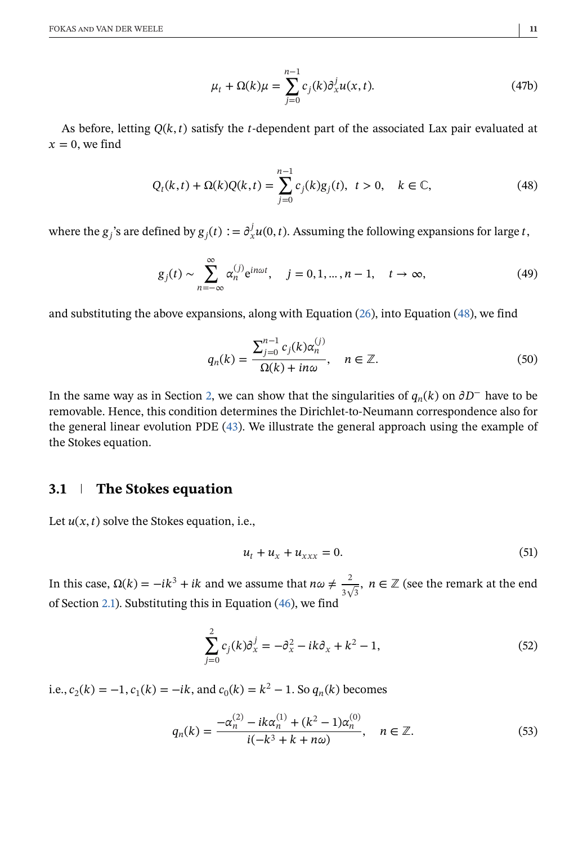$$
\mu_t + \Omega(k)\mu = \sum_{j=0}^{n-1} c_j(k)\partial_x^j u(x,t). \tag{47b}
$$

<span id="page-10-0"></span>As before, letting  $Q(k, t)$  satisfy the *t*-dependent part of the associated Lax pair evaluated at  $x=0$ , we find

$$
Q_t(k,t) + \Omega(k)Q(k,t) = \sum_{j=0}^{n-1} c_j(k)g_j(t), \ t > 0, \quad k \in \mathbb{C},
$$
 (48)

where the  $g_j$ 's are defined by  $g_j(t) := \partial_x^j u(0,t)$ . Assuming the following expansions for large t,

$$
g_j(t) \sim \sum_{n=-\infty}^{\infty} \alpha_n^{(j)} e^{in\omega t}, \quad j = 0, 1, \dots, n-1, \quad t \to \infty,
$$
 (49)

and substituting the above expansions, along with Equation [\(26\)](#page-6-0), into Equation (48), we find

$$
q_n(k) = \frac{\sum_{j=0}^{n-1} c_j(k) \alpha_n^{(j)}}{\Omega(k) + in\omega}, \quad n \in \mathbb{Z}.
$$
 (50)

In the same way as in Section [2,](#page-4-0) we can show that the singularities of  $q_n(k)$  on  $\partial D^-$  have to be removable. Hence, this condition determines the Dirichlet-to-Neumann correspondence also for the general linear evolution PDE [\(43\)](#page-9-0). We illustrate the general approach using the example of the Stokes equation.

## **3.1 The Stokes equation**

Let  $u(x, t)$  solve the Stokes equation, i.e.,

$$
u_t + u_x + u_{xxx} = 0. \tag{51}
$$

In this case,  $\Omega(k) = -ik^3 + ik$  and we assume that  $n\omega \neq \frac{2}{3\sqrt{3}}$ ,  $n \in \mathbb{Z}$  (see the remark at the end of Section [2.1\)](#page-5-0). Substituting this in Equation [\(46\)](#page-9-0), we find

$$
\sum_{j=0}^{2} c_j(k) \partial_x^j = -\partial_x^2 - ik \partial_x + k^2 - 1,
$$
\n(52)

i.e.,  $c_2(k) = -1$ ,  $c_1(k) = -ik$ , and  $c_0(k) = k^2 - 1$ . So  $q_n(k)$  becomes

$$
q_n(k) = \frac{-\alpha_n^{(2)} - ik\alpha_n^{(1)} + (k^2 - 1)\alpha_n^{(0)}}{i(-k^3 + k + n\omega)}, \quad n \in \mathbb{Z}.
$$
 (53)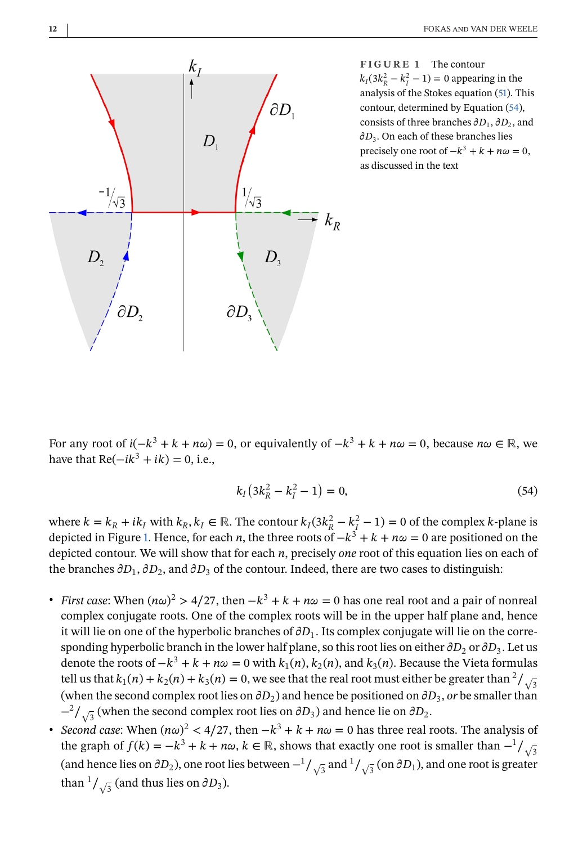<span id="page-11-0"></span>

**FIGURE 1** The contour  $k_I(3k_R^2 - k_I^2 - 1) = 0$  appearing in the analysis of the Stokes equation [\(51\)](#page-10-0). This contour, determined by Equation (54), consists of three branches  $\partial D_1$ ,  $\partial D_2$ , and  $\partial D_3$ . On each of these branches lies precisely one root of  $-k^3 + k + n\omega = 0$ , as discussed in the text

For any root of  $i(-k^3 + k + n\omega) = 0$ , or equivalently of  $-k^3 + k + n\omega = 0$ , because  $n\omega \in \mathbb{R}$ , we have that  $Re(-ik^3 + ik) = 0$ , i.e.,

$$
k_I\left(3k_R^2 - k_I^2 - 1\right) = 0,\t\t(54)
$$

where  $k = k_R + ik_I$  with  $k_R, k_I \in \mathbb{R}$ . The contour  $k_I(3k_R^2 - k_I^2 - 1) = 0$  of the complex k-plane is depicted in Figure 1. Hence, for each *n*, the three roots of  $-k^3 + k + n\omega = 0$  are positioned on the depicted contour. We will show that for each *n*, precisely *one* root of this equation lies on each of the branches  $\partial D_1$ ,  $\partial D_2$ , and  $\partial D_3$  of the contour. Indeed, there are two cases to distinguish:

- *First case*: When  $(n\omega)^2 > 4/27$ , then  $-k^3 + k + n\omega = 0$  has one real root and a pair of nonreal complex conjugate roots. One of the complex roots will be in the upper half plane and, hence it will lie on one of the hyperbolic branches of  $\partial D_1$ . Its complex conjugate will lie on the corresponding hyperbolic branch in the lower half plane, so this root lies on either  $\partial D_2$  or  $\partial D_3$ . Let us denote the roots of  $-k^3 + k + n\omega = 0$  with  $k_1(n)$ ,  $k_2(n)$ , and  $k_3(n)$ . Because the Vieta formulas tell us that  $k_1(n) + k_2(n) + k_3(n) = 0$ , we see that the real root must either be greater than  $\frac{2}{\sqrt{3}}$ (when the second complex root lies on  $\partial D_2$ ) and hence be positioned on  $\partial D_3$ , *or* be smaller than  $-\frac{2}{\sqrt{3}}$  (when the second complex root lies on  $\partial D_3$ ) and hence lie on  $\partial D_2$ .
- *Second case*: When  $(n\omega)^2 < 4/27$ , then  $-k^3 + k + n\omega = 0$  has three real roots. The analysis of the graph of  $f(k) = -k^3 + k + n\omega$ ,  $k \in \mathbb{R}$ , shows that exactly one root is smaller than  $-\frac{1}{\sqrt{3}}$ (and hence lies on  $\partial D_2$ ), one root lies between  $-1/\sqrt{3}$  and  $1/\sqrt{3}$  (on  $\partial D_1$ ), and one root is greater than  $\frac{1}{\sqrt{3}}$  (and thus lies on  $\partial D_3$ ).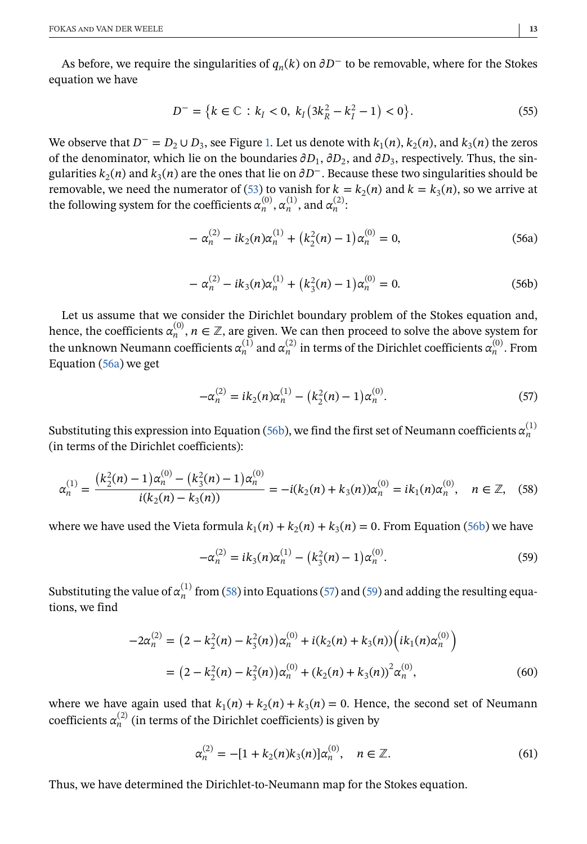As before, we require the singularities of  $q_n(k)$  on  $\partial D^-$  to be removable, where for the Stokes equation we have

$$
D^{-} = \{k \in \mathbb{C} : k_{I} < 0, \ k_{I} \left(3k_{R}^{2} - k_{I}^{2} - 1\right) < 0\}.\tag{55}
$$

We observe that  $D^- = D_2 \cup D_3$ , see Figure [1.](#page-11-0) Let us denote with  $k_1(n)$ ,  $k_2(n)$ , and  $k_3(n)$  the zeros of the denominator, which lie on the boundaries  $\partial D_1$ ,  $\partial D_2$ , and  $\partial D_3$ , respectively. Thus, the singularities  $k_2(n)$  and  $k_3(n)$  are the ones that lie on  $\partial D^{-}$ . Because these two singularities should be removable, we need the numerator of [\(53\)](#page-10-0) to vanish for  $k = k_2(n)$  and  $k = k_3(n)$ , so we arrive at the following system for the coefficients  $\alpha_n^{(0)}$ ,  $\alpha_n^{(1)}$ , and  $\alpha_n^{(2)}$ .

$$
-\alpha_n^{(2)} - ik_2(n)\alpha_n^{(1)} + (k_2^2(n) - 1)\alpha_n^{(0)} = 0,
$$
\n(56a)

$$
-\alpha_n^{(2)} - ik_3(n)\alpha_n^{(1)} + (k_3^2(n) - 1)\alpha_n^{(0)} = 0.
$$
 (56b)

Let us assume that we consider the Dirichlet boundary problem of the Stokes equation and, hence, the coefficients  $\alpha_n^{(0)}$ ,  $n \in \mathbb{Z}$ , are given. We can then proceed to solve the above system for the unknown Neumann coefficients  $\alpha_n^{(1)}$  and  $\alpha_n^{(2)}$  in terms of the Dirichlet coefficients  $\alpha_n^{(0)}$ . From Equation (56a) we get

$$
-\alpha_n^{(2)} = ik_2(n)\alpha_n^{(1)} - (k_2^2(n) - 1)\alpha_n^{(0)}.
$$
\n(57)

Substituting this expression into Equation (56b), we find the first set of Neumann coefficients  $\alpha_n^{(1)}$ (in terms of the Dirichlet coefficients):

$$
\alpha_n^{(1)} = \frac{(k_2^2(n) - 1)\alpha_n^{(0)} - (k_3^2(n) - 1)\alpha_n^{(0)}}{i(k_2(n) - k_3(n))} = -i(k_2(n) + k_3(n))\alpha_n^{(0)} = ik_1(n)\alpha_n^{(0)}, \quad n \in \mathbb{Z}, \tag{58}
$$

where we have used the Vieta formula  $k_1(n) + k_2(n) + k_3(n) = 0$ . From Equation (56b) we have

$$
-\alpha_n^{(2)} = ik_3(n)\alpha_n^{(1)} - (k_3^2(n) - 1)\alpha_n^{(0)}.
$$
\n(59)

Substituting the value of  $\alpha_n^{(1)}$  from (58) into Equations (57) and (59) and adding the resulting equations, we find

$$
-2\alpha_n^{(2)} = (2 - k_2^2(n) - k_3^2(n))\alpha_n^{(0)} + i(k_2(n) + k_3(n))\left(ik_1(n)\alpha_n^{(0)}\right)
$$
  
= 
$$
(2 - k_2^2(n) - k_3^2(n))\alpha_n^{(0)} + (k_2(n) + k_3(n))^2\alpha_n^{(0)},
$$
 (60)

where we have again used that  $k_1(n) + k_2(n) + k_3(n) = 0$ . Hence, the second set of Neumann coefficients  $\alpha_n^{(2)}$  (in terms of the Dirichlet coefficients) is given by

$$
\alpha_n^{(2)} = -[1 + k_2(n)k_3(n)]\alpha_n^{(0)}, \quad n \in \mathbb{Z}.
$$
 (61)

Thus, we have determined the Dirichlet-to-Neumann map for the Stokes equation.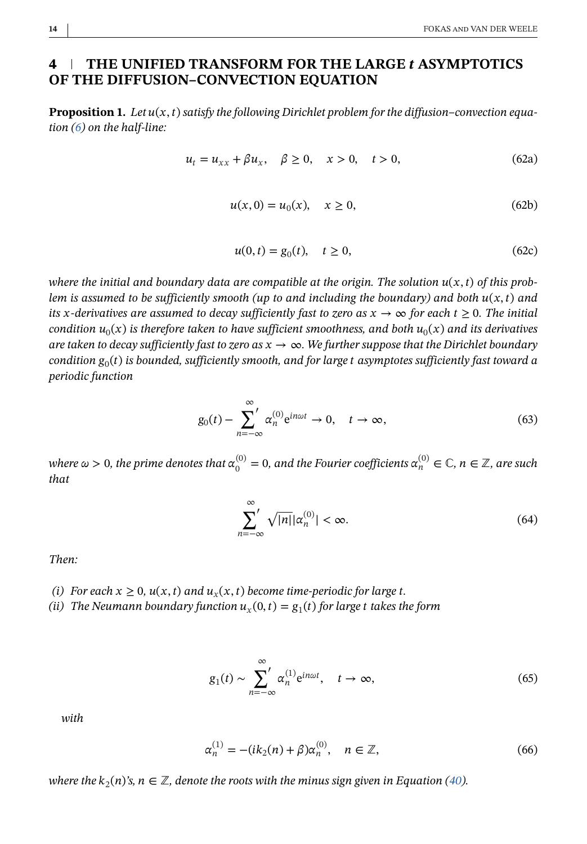## <span id="page-13-0"></span>**4 THE UNIFIED TRANSFORM FOR THE LARGE ASYMPTOTICS OF THE DIFFUSION–CONVECTION EQUATION**

**Proposition 1.** Let  $u(x, t)$  satisfy the following Dirichlet problem for the diffusion-convection equa*tion [\(6\)](#page-3-0) on the half-line:*

$$
u_t = u_{xx} + \beta u_x, \quad \beta \ge 0, \quad x > 0, \quad t > 0,
$$
\n
$$
(62a)
$$

$$
u(x,0) = u_0(x), \quad x \ge 0,
$$
\n(62b)

$$
u(0, t) = g_0(t), \quad t \ge 0,
$$
\n(62c)

where the initial and boundary data are compatible at the origin. The solution  $u(x, t)$  of this prob*lem is assumed to be sufficiently smooth (up to and including the boundary) and both*  $u(x, t)$  *and its x*-derivatives are assumed to decay sufficiently fast to zero as  $x \to \infty$  for each  $t \ge 0$ . The initial *condition*  $u_0(x)$  *is therefore taken to have sufficient smoothness, and both*  $u_0(x)$  *and its derivatives are taken to decay sufficiently fast to zero as*  $x \to \infty$ *. We further suppose that the Dirichlet boundary condition*  $g_0(t)$  *is bounded, sufficiently smooth, and for large t asymptotes sufficiently fast toward a periodic function*

$$
g_0(t) - \sum_{n=-\infty}^{\infty} \alpha_n^{(0)} e^{in\omega t} \to 0, \quad t \to \infty,
$$
 (63)

where  $\omega >0$ , the prime denotes that  $\alpha_0^{(0)}=0$ , and the Fourier coefficients  $\alpha_n^{(0)}\in \mathbb{C}$ ,  $n\in \mathbb{Z}$ , are such *that*

$$
\sum_{n=-\infty}^{\infty} \sqrt{|n|} |\alpha_n^{(0)}| < \infty. \tag{64}
$$

*Then:*

- *(i)* For each  $x \geq 0$ ,  $u(x, t)$  and  $u<sub>x</sub>(x, t)$  become time-periodic for large t.
- *(ii)* The Neumann boundary function  $u_x(0, t) = g_1(t)$  for large t takes the form

$$
g_1(t) \sim \sum_{n=-\infty}^{\infty} \alpha_n^{(1)} e^{in\omega t}, \quad t \to \infty,
$$
 (65)

*with*

$$
\alpha_n^{(1)} = -(ik_2(n) + \beta)\alpha_n^{(0)}, \quad n \in \mathbb{Z},
$$
\n(66)

*where the*  $k_2(n)$ 's,  $n \in \mathbb{Z}$ , denote the roots with the minus sign given in Equation [\(40\)](#page-8-0).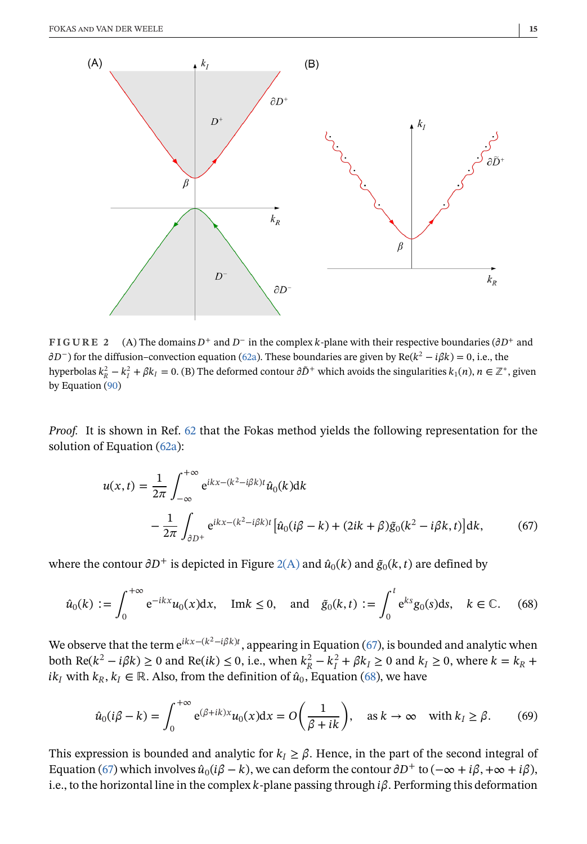<span id="page-14-0"></span>

**FIGURE 2** (A) The domains  $D^+$  and  $D^-$  in the complex k-plane with their respective boundaries ( $\partial D^+$  and  $\partial D^-$ ) for the diffusion–convection equation [\(62a\)](#page-13-0). These boundaries are given by Re( $k^2 - i\beta k$ ) = 0, i.e., the hyperbolas  $k_R^2 - k_I^2 + \beta k_I = 0$ . (B) The deformed contour  $\partial \tilde{D}^+$  which avoids the singularities  $k_1(n)$ ,  $n \in \mathbb{Z}^*$ , given by Equation [\(90\)](#page-19-0)

*Proof.* It is shown in Ref. [62](#page-29-0) that the Fokas method yields the following representation for the solution of Equation [\(62a\)](#page-13-0):

$$
u(x,t) = \frac{1}{2\pi} \int_{-\infty}^{+\infty} e^{ikx - (k^2 - i\beta k)t} \hat{u}_0(k)dk
$$
  

$$
- \frac{1}{2\pi} \int_{\partial D^+} e^{ikx - (k^2 - i\beta k)t} \left[ \hat{u}_0(i\beta - k) + (2ik + \beta)\tilde{g}_0(k^2 - i\beta k, t) \right] dk,
$$
 (67)

where the contour  $\partial D^+$  is depicted in Figure 2(A) and  $\hat{u}_0(k)$  and  $\tilde{g}_0(k, t)$  are defined by

$$
\hat{u}_0(k) := \int_0^{+\infty} e^{-ikx} u_0(x) dx, \quad \text{Im}k \le 0, \quad \text{and} \quad \tilde{g}_0(k, t) := \int_0^t e^{ks} g_0(s) ds, \quad k \in \mathbb{C}. \tag{68}
$$

We observe that the term  $e^{ikx-(k^2-i\beta k)t}$ , appearing in Equation (67), is bounded and analytic when both Re( $k^2 - i\beta k$ ) ≥ 0 and Re( $ik$ ) ≤ 0, i.e., when  $k_R^2 - k_I^2 + \beta k_I \ge 0$  and  $k_I \ge 0$ , where  $k = k_R +$ *ik<sub>I</sub>* with  $k_R$ ,  $k_I \in \mathbb{R}$ . Also, from the definition of  $\hat{u}_0$ , Equation (68), we have

$$
\hat{u}_0(i\beta - k) = \int_0^{+\infty} e^{(\beta + ik)x} u_0(x) dx = O\left(\frac{1}{\beta + ik}\right), \quad \text{as } k \to \infty \quad \text{with } k_I \ge \beta. \tag{69}
$$

This expression is bounded and analytic for  $k_1 \geq \beta$ . Hence, in the part of the second integral of Equation (67) which involves  $\hat{u}_0(i\beta - k)$ , we can deform the contour  $\partial D^+$  to  $(-\infty + i\beta, +\infty + i\beta)$ , i.e., to the horizontal line in the complex k-plane passing through  $i\beta$ . Performing this deformation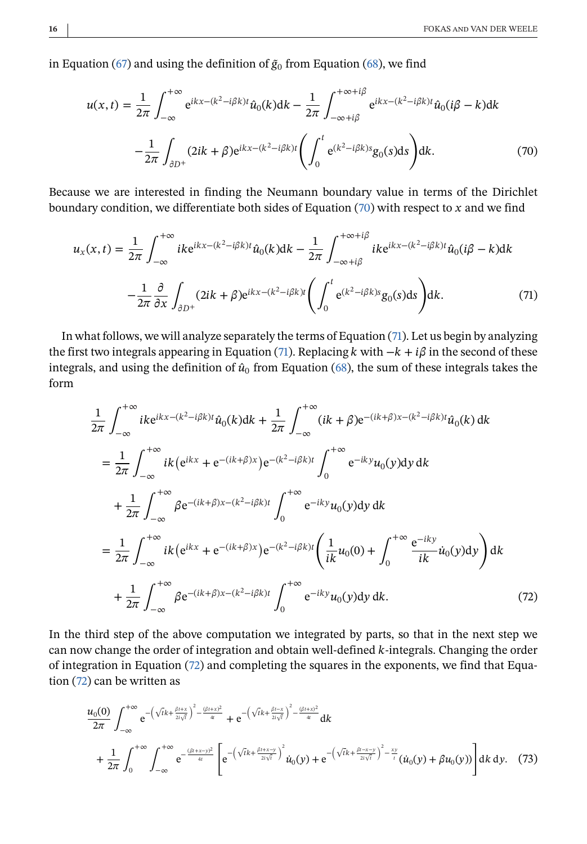<span id="page-15-0"></span>in Equation [\(67\)](#page-14-0) and using the definition of  $\tilde{g}_0$  from Equation [\(68\)](#page-14-0), we find

$$
u(x,t) = \frac{1}{2\pi} \int_{-\infty}^{+\infty} e^{ikx - (k^2 - i\beta k)t} \hat{u}_0(k) dk - \frac{1}{2\pi} \int_{-\infty + i\beta}^{+\infty + i\beta} e^{ikx - (k^2 - i\beta k)t} \hat{u}_0(i\beta - k) dk
$$

$$
- \frac{1}{2\pi} \int_{\partial D^+} (2ik + \beta) e^{ikx - (k^2 - i\beta k)t} \left( \int_0^t e^{(k^2 - i\beta k)s} g_0(s) ds \right) dk.
$$
(70)

Because we are interested in finding the Neumann boundary value in terms of the Dirichlet boundary condition, we differentiate both sides of Equation  $(70)$  with respect to x and we find

$$
u_x(x,t) = \frac{1}{2\pi} \int_{-\infty}^{+\infty} i k e^{ikx - (k^2 - i\beta k)t} \hat{u}_0(k) dk - \frac{1}{2\pi} \int_{-\infty + i\beta}^{+\infty + i\beta} i k e^{ikx - (k^2 - i\beta k)t} \hat{u}_0(i\beta - k) dk
$$

$$
- \frac{1}{2\pi} \frac{\partial}{\partial x} \int_{\partial D^+} (2ik + \beta) e^{ikx - (k^2 - i\beta k)t} \left( \int_0^t e^{(k^2 - i\beta k)s} g_0(s) ds \right) dk.
$$
(71)

In what follows, we will analyze separately the terms of Equation (71). Let us begin by analyzing the first two integrals appearing in Equation (71). Replacing  $k$  with  $-k + i\beta$  in the second of these integrals, and using the definition of  $\hat{u}_0$  from Equation [\(68\)](#page-14-0), the sum of these integrals takes the form

$$
\frac{1}{2\pi} \int_{-\infty}^{+\infty} i k e^{ikx - (k^2 - i\beta k)t} \hat{u}_0(k) dk + \frac{1}{2\pi} \int_{-\infty}^{+\infty} (ik + \beta) e^{-(ik + \beta)x - (k^2 - i\beta k)t} \hat{u}_0(k) dk
$$
  
\n
$$
= \frac{1}{2\pi} \int_{-\infty}^{+\infty} ik \left( e^{ikx} + e^{-(ik + \beta)x} \right) e^{-(k^2 - i\beta k)t} \int_{0}^{+\infty} e^{-iky} u_0(y) dy dk
$$
  
\n
$$
+ \frac{1}{2\pi} \int_{-\infty}^{+\infty} \beta e^{-(ik + \beta)x - (k^2 - i\beta k)t} \int_{0}^{+\infty} e^{-iky} u_0(y) dy dk
$$
  
\n
$$
= \frac{1}{2\pi} \int_{-\infty}^{+\infty} ik \left( e^{ikx} + e^{-(ik + \beta)x} \right) e^{-(k^2 - i\beta k)t} \left( \frac{1}{ik} u_0(0) + \int_{0}^{+\infty} \frac{e^{-iky}}{ik} \hat{u}_0(y) dy \right) dk
$$
  
\n
$$
+ \frac{1}{2\pi} \int_{-\infty}^{+\infty} \beta e^{-(ik + \beta)x - (k^2 - i\beta k)t} \int_{0}^{+\infty} e^{-iky} u_0(y) dy dk.
$$
 (72)

In the third step of the above computation we integrated by parts, so that in the next step we can now change the order of integration and obtain well-defined  $k$ -integrals. Changing the order of integration in Equation (72) and completing the squares in the exponents, we find that Equation (72) can be written as

$$
\frac{u_0(0)}{2\pi} \int_{-\infty}^{+\infty} e^{-\left(\sqrt{t}k + \frac{\beta t + x}{2t\sqrt{t}}\right)^2 - \frac{(\beta t + x)^2}{4t}} + e^{-\left(\sqrt{t}k + \frac{\beta t - x}{2t\sqrt{t}}\right)^2 - \frac{(\beta t + x)^2}{4t}} dk \n+ \frac{1}{2\pi} \int_0^{+\infty} \int_{-\infty}^{+\infty} e^{-\frac{(\beta t + x - y)^2}{4t}} \left[ e^{-\left(\sqrt{t}k + \frac{\beta t + x - y}{2t\sqrt{t}}\right)^2} \dot{u}_0(y) + e^{-\left(\sqrt{t}k + \frac{\beta t - x - y}{2t\sqrt{t}}\right)^2 - \frac{xy}{t}} (\dot{u}_0(y) + \beta u_0(y)) \right] dk dy. (73)
$$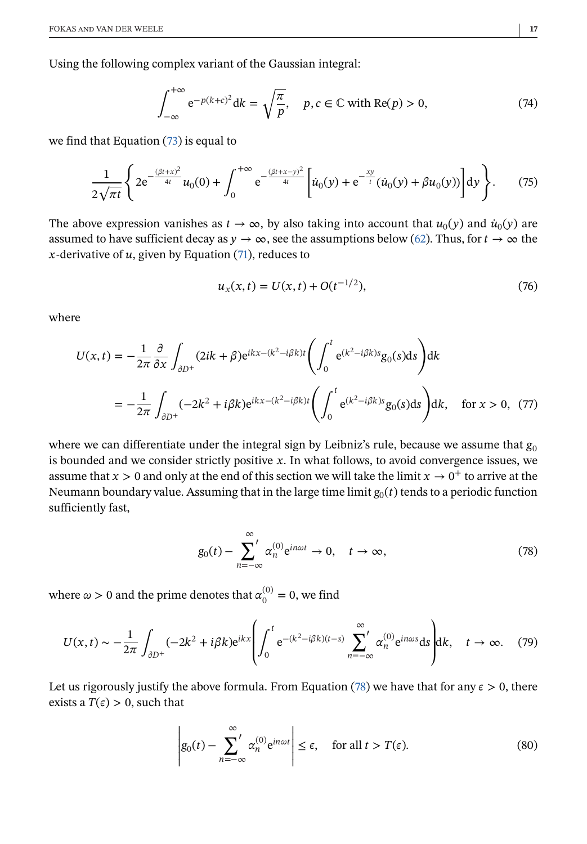<span id="page-16-0"></span>Using the following complex variant of the Gaussian integral:

$$
\int_{-\infty}^{+\infty} e^{-p(k+c)^2} dk = \sqrt{\frac{\pi}{p}}, \quad p, c \in \mathbb{C} \text{ with } \text{Re}(p) > 0,
$$
 (74)

we find that Equation [\(73\)](#page-15-0) is equal to

$$
\frac{1}{2\sqrt{\pi t}}\left\{2e^{-\frac{(\beta t+x)^2}{4t}}u_0(0)+\int_0^{+\infty}e^{-\frac{(\beta t+x-y)^2}{4t}}\left[\dot{u}_0(y)+e^{-\frac{xy}{t}}(\dot{u}_0(y)+\beta u_0(y))\right]dy\right\}.\tag{75}
$$

The above expression vanishes as  $t \to \infty$ , by also taking into account that  $u_0(y)$  and  $\dot{u}_0(y)$  are assumed to have sufficient decay as  $y \to \infty$ , see the assumptions below [\(62\)](#page-13-0). Thus, for  $t \to \infty$  the x-derivative of  $u$ , given by Equation [\(71\)](#page-15-0), reduces to

$$
u_x(x,t) = U(x,t) + O(t^{-1/2}),\tag{76}
$$

where

$$
U(x,t) = -\frac{1}{2\pi} \frac{\partial}{\partial x} \int_{\partial D^{+}} (2ik + \beta)e^{ikx - (k^2 - i\beta k)t} \left( \int_{0}^{t} e^{(k^2 - i\beta k)s} g_0(s) ds \right) dk
$$
  
= 
$$
-\frac{1}{2\pi} \int_{\partial D^{+}} (-2k^2 + i\beta k)e^{ikx - (k^2 - i\beta k)t} \left( \int_{0}^{t} e^{(k^2 - i\beta k)s} g_0(s) ds \right) dk, \text{ for } x > 0, (77)
$$

where we can differentiate under the integral sign by Leibniz's rule, because we assume that  $g_0$ is bounded and we consider strictly positive  $x$ . In what follows, to avoid convergence issues, we assume that  $x > 0$  and only at the end of this section we will take the limit  $x \to 0^+$  to arrive at the Neumann boundary value. Assuming that in the large time limit  $g_0(t)$  tends to a periodic function sufficiently fast,

$$
g_0(t) - \sum_{n=-\infty}^{\infty} \alpha_n^{(0)} e^{in\omega t} \to 0, \quad t \to \infty,
$$
 (78)

where  $\omega > 0$  and the prime denotes that  $\alpha_0^{(0)} = 0$ , we find

$$
U(x,t) \sim -\frac{1}{2\pi} \int_{\partial D^+} (-2k^2 + i\beta k) e^{ikx} \left( \int_0^t e^{-(k^2 - i\beta k)(t-s)} \sum_{n=-\infty}^{\infty} \alpha_n^{(0)} e^{in\omega s} ds \right) dk, \quad t \to \infty.
$$
 (79)

Let us rigorously justify the above formula. From Equation (78) we have that for any  $\epsilon > 0$ , there exists a  $T(\epsilon) > 0$ , such that

$$
\left| g_0(t) - \sum_{n=-\infty}^{\infty} \alpha_n^{(0)} e^{in\omega t} \right| \le \epsilon, \quad \text{for all } t > T(\epsilon). \tag{80}
$$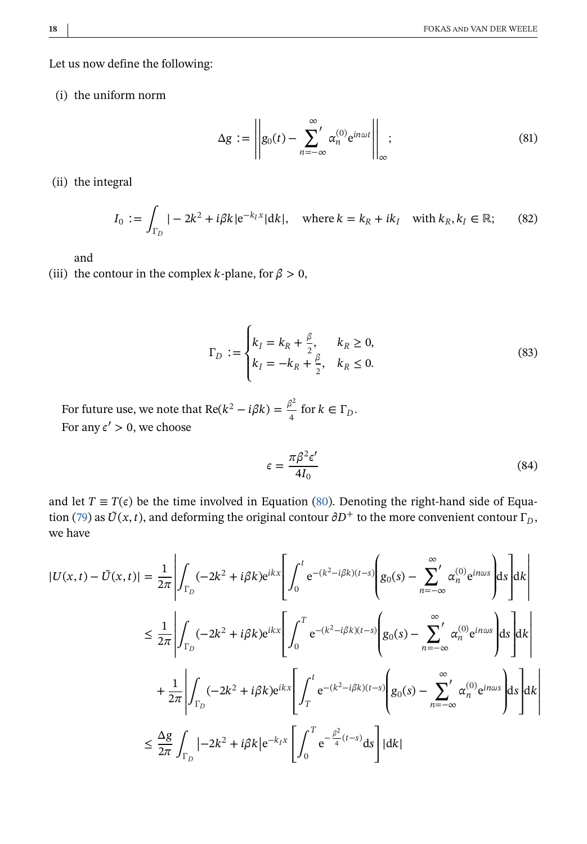Let us now define the following:

(i) the uniform norm

$$
\Delta g := \left\| g_0(t) - \sum_{n=-\infty}^{\infty} \alpha_n^{(0)} e^{in\omega t} \right\|_{\infty};
$$
\n(81)

(ii) the integral

$$
I_0 := \int_{\Gamma_D} |-2k^2 + i\beta k|e^{-k_I x}|dk|, \quad \text{where } k = k_R + ik_I \quad \text{with } k_R, k_I \in \mathbb{R};\qquad(82)
$$

and

(iii) the contour in the complex *k*-plane, for  $\beta > 0$ ,

$$
\Gamma_D := \begin{cases} k_I = k_R + \frac{\beta}{2}, & k_R \ge 0, \\ k_I = -k_R + \frac{\beta}{2}, & k_R \le 0. \end{cases}
$$
 (83)

For future use, we note that Re( $k^2 - i\beta k$ ) =  $\frac{\beta^2}{4}$  for  $k \in \Gamma_D$ . For any  $\varepsilon' > 0$ , we choose

$$
\epsilon = \frac{\pi \beta^2 \epsilon'}{4I_0} \tag{84}
$$

and let  $T \equiv T(\epsilon)$  be the time involved in Equation [\(80\)](#page-16-0). Denoting the right-hand side of Equa-tion [\(79\)](#page-16-0) as  $\tilde{U}(x, t)$ , and deforming the original contour  $\partial D^+$  to the more convenient contour  $\Gamma_D$ , we have

$$
|U(x,t) - \tilde{U}(x,t)| = \frac{1}{2\pi} \left| \int_{\Gamma_D} (-2k^2 + i\beta k) e^{ikx} \left[ \int_0^t e^{-(k^2 - i\beta k)(t-s)} \left( g_0(s) - \sum_{n=-\infty}^{\infty} \alpha_n^{(0)} e^{in\omega s} \right) ds \right] dk \right|
$$
  

$$
\leq \frac{1}{2\pi} \left| \int_{\Gamma_D} (-2k^2 + i\beta k) e^{ikx} \left[ \int_0^T e^{-(k^2 - i\beta k)(t-s)} \left( g_0(s) - \sum_{n=-\infty}^{\infty} \alpha_n^{(0)} e^{in\omega s} \right) ds \right] dk \right|
$$
  

$$
+ \frac{1}{2\pi} \left| \int_{\Gamma_D} (-2k^2 + i\beta k) e^{ikx} \left[ \int_T^t e^{-(k^2 - i\beta k)(t-s)} \left( g_0(s) - \sum_{n=-\infty}^{\infty} \alpha_n^{(0)} e^{in\omega s} \right) ds \right] dk \right|
$$
  

$$
\leq \frac{\Delta g}{2\pi} \int_{\Gamma_D} \left| -2k^2 + i\beta k \right| e^{-k_t x} \left[ \int_0^T e^{-\frac{\beta^2}{4}(t-s)} ds \right] |dk|
$$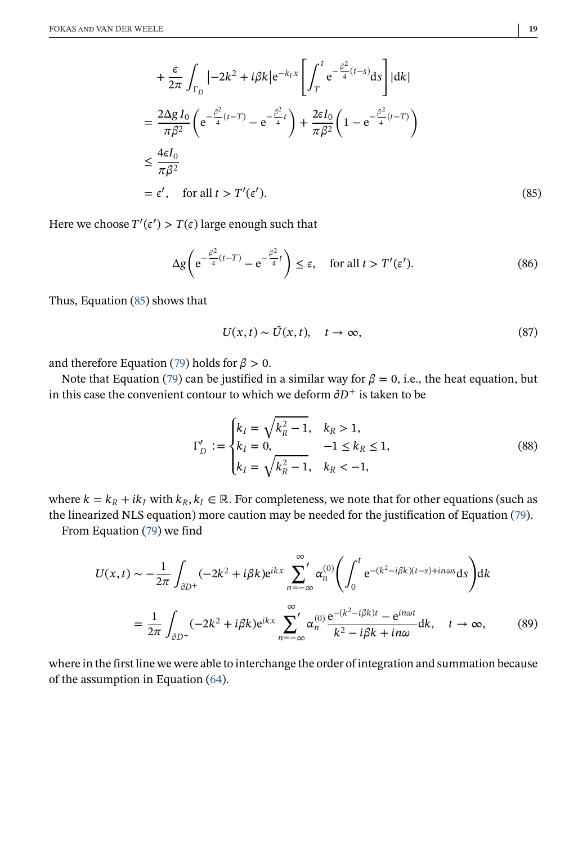<span id="page-18-0"></span>
$$
+\frac{\epsilon}{2\pi} \int_{\Gamma_D} |{-}2k^2 + i\beta k| e^{-k_I x} \left[ \int_T^t e^{-\frac{\beta^2}{4}(t-s)} ds \right] |dk|
$$
  

$$
=\frac{2\Delta g I_0}{\pi \beta^2} \left( e^{-\frac{\beta^2}{4}(t-T)} - e^{-\frac{\beta^2}{4}t} \right) + \frac{2\epsilon I_0}{\pi \beta^2} \left( 1 - e^{-\frac{\beta^2}{4}(t-T)} \right)
$$
  

$$
\leq \frac{4\epsilon I_0}{\pi \beta^2}
$$
  

$$
= \epsilon', \text{ for all } t > T'(\epsilon').
$$
 (85)

Here we choose  $T'(\epsilon') > T(\epsilon)$  large enough such that

$$
\Delta g \left( e^{-\frac{\beta^2}{4}(t-T)} - e^{-\frac{\beta^2}{4}t} \right) \le \epsilon, \quad \text{for all } t > T'(\epsilon'). \tag{86}
$$

Thus, Equation (85) shows that

$$
U(x,t) \sim \tilde{U}(x,t), \quad t \to \infty,
$$
\n(87)

and therefore Equation [\(79\)](#page-16-0) holds for  $\beta > 0$ .

Note that Equation [\(79\)](#page-16-0) can be justified in a similar way for  $\beta = 0$ , i.e., the heat equation, but in this case the convenient contour to which we deform  $\partial D^+$  is taken to be

$$
\Gamma'_{D} := \begin{cases} k_{I} = \sqrt{k_{R}^{2} - 1}, & k_{R} > 1, \\ k_{I} = 0, & -1 \le k_{R} \le 1, \\ k_{I} = \sqrt{k_{R}^{2} - 1}, & k_{R} < -1, \end{cases}
$$
(88)

where  $k = k_R + ik_I$  with  $k_R, k_I \in \mathbb{R}$ . For completeness, we note that for other equations (such as the linearized NLS equation) more caution may be needed for the justification of Equation [\(79\)](#page-16-0).

From Equation [\(79\)](#page-16-0) we find

$$
U(x,t) \sim -\frac{1}{2\pi} \int_{\partial D^{+}} (-2k^{2} + i\beta k) e^{ikx} \sum_{n=-\infty}^{\infty} \alpha_{n}^{(0)} \left( \int_{0}^{t} e^{-(k^{2} - i\beta k)(t-s) + in\omega s} ds \right) dk
$$
  

$$
= \frac{1}{2\pi} \int_{\partial D^{+}} (-2k^{2} + i\beta k) e^{ikx} \sum_{n=-\infty}^{\infty} \alpha_{n}^{(0)} \frac{e^{-(k^{2} - i\beta k)t} - e^{in\omega t}}{k^{2} - i\beta k + in\omega} dk, \quad t \to \infty,
$$
 (89)

where in the first line we were able to interchange the order of integration and summation because of the assumption in Equation [\(64\)](#page-13-0).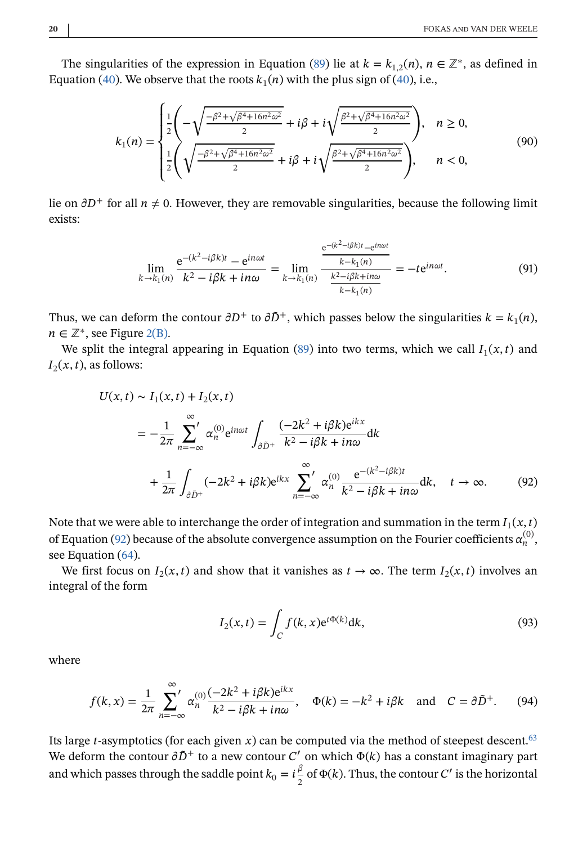<span id="page-19-0"></span>The singularities of the expression in Equation [\(89\)](#page-18-0) lie at  $k = k_{1,2}(n)$ ,  $n \in \mathbb{Z}^*$ , as defined in Equation [\(40\)](#page-8-0). We observe that the roots  $k_1(n)$  with the plus sign of (40), i.e.,

$$
k_1(n) = \begin{cases} \frac{1}{2} \left( -\sqrt{\frac{-\beta^2 + \sqrt{\beta^4 + 16n^2\omega^2}}{2}} + i\beta + i\sqrt{\frac{\beta^2 + \sqrt{\beta^4 + 16n^2\omega^2}}{2}} \right), & n \ge 0, \\ \frac{1}{2} \left( \sqrt{\frac{-\beta^2 + \sqrt{\beta^4 + 16n^2\omega^2}}{2}} + i\beta + i\sqrt{\frac{\beta^2 + \sqrt{\beta^4 + 16n^2\omega^2}}{2}} \right), & n < 0, \end{cases}
$$
(90)

lie on  $\partial D^+$  for all  $n \neq 0$ . However, they are removable singularities, because the following limit exists:

$$
\lim_{k \to k_1(n)} \frac{e^{-(k^2 - i\beta k)t} - e^{in\omega t}}{k^2 - i\beta k + in\omega} = \lim_{k \to k_1(n)} \frac{\frac{e^{-(k^2 - i\beta k)t} - e^{in\omega t}}{k - k_1(n)}}{\frac{k^2 - i\beta k + in\omega}{k - k_1(n)}} = -t e^{in\omega t}.
$$
\n(91)

Thus, we can deform the contour  $\partial D^+$  to  $\partial \tilde{D}^+$ , which passes below the singularities  $k = k_1(n)$ ,  $n \in \mathbb{Z}^*$ , see Figure [2\(B\).](#page-14-0)

We split the integral appearing in Equation [\(89\)](#page-18-0) into two terms, which we call  $I_1(x, t)$  and  $I_2(x, t)$ , as follows:

$$
U(x,t) \sim I_1(x,t) + I_2(x,t)
$$
  
=  $-\frac{1}{2\pi} \sum_{n=-\infty}^{\infty} \alpha_n^{(0)} e^{in\omega t} \int_{\partial \bar{D}^+} \frac{(-2k^2 + i\beta k)e^{ikx}}{k^2 - i\beta k + in\omega} dk$   
+  $\frac{1}{2\pi} \int_{\partial \bar{D}^+} (-2k^2 + i\beta k)e^{ikx} \sum_{n=-\infty}^{\infty} \alpha_n^{(0)} \frac{e^{-(k^2 - i\beta k)t}}{k^2 - i\beta k + in\omega} dk, \quad t \to \infty.$  (92)

Note that we were able to interchange the order of integration and summation in the term  $I_1(x, t)$ of Equation (92) because of the absolute convergence assumption on the Fourier coefficients  $\alpha_n^{(0)}$ . see Equation [\(64\)](#page-13-0).

We first focus on  $I_2(x, t)$  and show that it vanishes as  $t \to \infty$ . The term  $I_2(x, t)$  involves an integral of the form

$$
I_2(x,t) = \int_C f(k,x)e^{i\Phi(k)}dk,
$$
\n(93)

where

$$
f(k,x) = \frac{1}{2\pi} \sum_{n=-\infty}^{\infty} \alpha_n^{(0)} \frac{(-2k^2 + i\beta k)e^{ikx}}{k^2 - i\beta k + i n\omega}, \quad \Phi(k) = -k^2 + i\beta k \quad \text{and} \quad C = \partial \tilde{D}^+.
$$
 (94)

Its large *t*-asymptotics (for each given x) can be computed via the method of steepest descent.<sup>63</sup> We deform the contour  $\partial \tilde{D}^+$  to a new contour C' on which  $\Phi(k)$  has a constant imaginary part and which passes through the saddle point  $k_0 = i\frac{\beta}{2}$  of  $\Phi(k)$ . Thus, the contour C' is the horizontal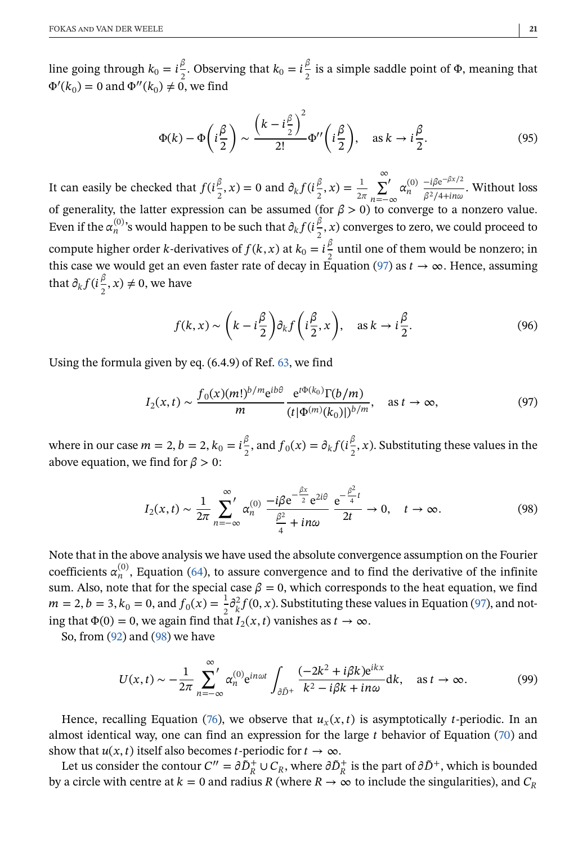<span id="page-20-0"></span>line going through  $k_0 = i\frac{\beta}{2}$ . Observing that  $k_0 = i\frac{\beta}{2}$  is a simple saddle point of  $\Phi$ , meaning that  $\Phi'(k_0) = 0$  and  $\Phi''(k_0) \neq 0$ , we find

$$
\Phi(k) - \Phi\left(i\frac{\beta}{2}\right) \sim \frac{\left(k - i\frac{\beta}{2}\right)^2}{2!} \Phi''\left(i\frac{\beta}{2}\right), \quad \text{as } k \to i\frac{\beta}{2}.
$$
 (95)

It can easily be checked that  $f(t_2^{\beta}, x) = 0$  and  $\partial_k f(t_2^{\beta}, x) = \frac{1}{2\pi}$ ∞ ∑′ n=−∞  $\alpha_n^{(0)}$  $-i\beta e^{-\beta x/2}$  $\frac{\mu_{\text{p}}}{\beta^2/4 + in\omega}$ . Without loss of generality, the latter expression can be assumed (for  $\beta > 0$ ) to converge to a nonzero value. Even if the  $\alpha_n^{(0)}$ 's would happen to be such that  $\partial_k f(i\frac{\beta}{2}, x)$  converges to zero, we could proceed to compute higher order *k*-derivatives of  $f(k, x)$  at  $k_0 = i\frac{\beta}{2}$  until one of them would be nonzero; in this case we would get an even faster rate of decay in Equation (97) as  $t \to \infty$ . Hence, assuming that  $\partial_k f(i\frac{\beta}{2}, x) \neq 0$ , we have

$$
f(k,x) \sim \left(k - i\frac{\beta}{2}\right)\partial_k f\left(i\frac{\beta}{2}, x\right), \quad \text{as } k \to i\frac{\beta}{2}.
$$
 (96)

Using the formula given by eq. (6.4.9) of Ref. [63,](#page-29-0) we find

$$
I_2(x,t) \sim \frac{f_0(x)(m!)^{b/m} e^{ib\theta}}{m} \frac{e^{t\Phi(k_0)} \Gamma(b/m)}{(t|\Phi^{(m)}(k_0)|)^{b/m}}, \quad \text{as } t \to \infty,
$$
 (97)

where in our case  $m = 2$ ,  $b = 2$ ,  $k_0 = i\frac{\beta}{2}$ , and  $f_0(x) = \partial_k f(i\frac{\beta}{2}, x)$ . Substituting these values in the above equation, we find for  $\beta > 0$ :

$$
I_2(x,t) \sim \frac{1}{2\pi} \sum_{n=-\infty}^{\infty} \alpha_n^{(0)} \frac{-i\beta e^{-\frac{\beta x}{2}} e^{2i\theta}}{\frac{\beta^2}{4} + in\omega} \frac{e^{-\frac{\beta^2}{4}t}}{2t} \to 0, \quad t \to \infty.
$$
 (98)

Note that in the above analysis we have used the absolute convergence assumption on the Fourier coefficients  $\alpha_n^{(0)}$ , Equation [\(64\)](#page-13-0), to assure convergence and to find the derivative of the infinite sum. Also, note that for the special case  $\beta = 0$ , which corresponds to the heat equation, we find  $m = 2, b = 3, k_0 = 0, \text{ and } f_0(x) = \frac{1}{2} \partial_k^2 f(0, x)$ . Substituting these values in Equation (97), and noting that  $\Phi(0) = 0$ , we again find that  $I_2(x, t)$  vanishes as  $t \to \infty$ .

So, from [\(92\)](#page-19-0) and (98) we have

$$
U(x,t) \sim -\frac{1}{2\pi} \sum_{n=-\infty}^{\infty} \alpha_n^{(0)} e^{in\omega t} \int_{\partial \tilde{D}^+} \frac{(-2k^2 + i\beta k)e^{ikx}}{k^2 - i\beta k + in\omega} dk, \text{ as } t \to \infty.
$$
 (99)

Hence, recalling Equation [\(76\)](#page-16-0), we observe that  $u_x(x, t)$  is asymptotically *t*-periodic. In an almost identical way, one can find an expression for the large  $t$  behavior of Equation [\(70\)](#page-15-0) and show that  $u(x, t)$  itself also becomes t-periodic for  $t \to \infty$ .

Let us consider the contour  $C'' = \partial \tilde{D}_R^+ \cup C_R$ , where  $\partial \tilde{D}_R^+$  is the part of  $\partial \tilde{D}^+$ , which is bounded by a circle with centre at  $k = 0$  and radius R (where  $R \to \infty$  to include the singularities), and  $C_R$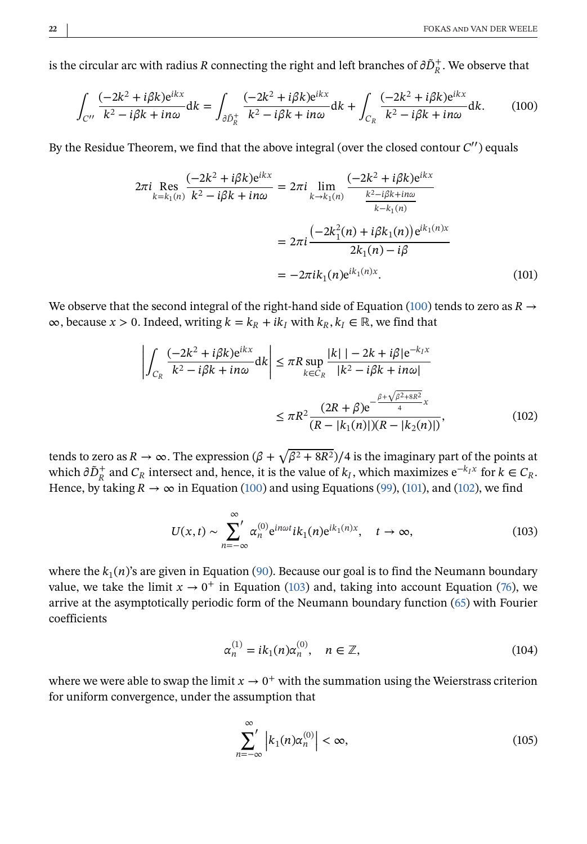<span id="page-21-0"></span>is the circular arc with radius  $R$  connecting the right and left branches of  $\partial \tilde{D}_R^+ .$  We observe that

$$
\int_{C''} \frac{(-2k^2 + i\beta k)e^{ikx}}{k^2 - i\beta k + in\omega} dk = \int_{\partial \bar{D}_R^+} \frac{(-2k^2 + i\beta k)e^{ikx}}{k^2 - i\beta k + in\omega} dk + \int_{C_R} \frac{(-2k^2 + i\beta k)e^{ikx}}{k^2 - i\beta k + in\omega} dk.
$$
 (100)

By the Residue Theorem, we find that the above integral (over the closed contour  $C''$ ) equals

$$
2\pi i \underset{k=k_1(n)}{\text{Res}} \frac{(-2k^2 + i\beta k)e^{ikx}}{k^2 - i\beta k + in\omega} = 2\pi i \lim_{k \to k_1(n)} \frac{(-2k^2 + i\beta k)e^{ikx}}{\frac{k^2 - i\beta k + in\omega}{k - k_1(n)}}
$$

$$
= 2\pi i \frac{(-2k_1^2(n) + i\beta k_1(n))e^{ik_1(n)x}}{2k_1(n) - i\beta}
$$

$$
= -2\pi i k_1(n)e^{ik_1(n)x}.
$$
 (101)

We observe that the second integral of the right-hand side of Equation (100) tends to zero as  $R \rightarrow$  $\infty$ , because  $x > 0$ . Indeed, writing  $k = k_R + ik_I$  with  $k_R, k_I \in \mathbb{R}$ , we find that

$$
\left| \int_{C_R} \frac{(-2k^2 + i\beta k)e^{ikx}}{k^2 - i\beta k + in\omega} dk \right| \le \pi R \sup_{k \in C_R} \frac{|k| - 2k + i\beta|e^{-k_I x}}{|k^2 - i\beta k + in\omega|} \n\le \pi R^2 \frac{(2R + \beta)e^{-\frac{\beta + \sqrt{\beta^2 + 8R^2}}{4}x}}{(R - |k_1(n)|)(R - |k_2(n)|)},
$$
\n(102)

tends to zero as  $R \to \infty$ . The expression  $(\beta + \sqrt{\beta^2 + 8R^2})/4$  is the imaginary part of the points at which  $\partial \tilde{D}_R^+$  and  $C_R$  intersect and, hence, it is the value of  $k_I$ , which maximizes  $e^{-k_I x}$  for  $k \in C_R$ . Hence, by taking  $R \to \infty$  in Equation (100) and using Equations [\(99\)](#page-20-0), (101), and (102), we find

$$
U(x,t) \sim \sum_{n=-\infty}^{\infty} \alpha_n^{(0)} e^{in\omega t} i k_1(n) e^{ik_1(n)x}, \quad t \to \infty,
$$
 (103)

where the  $k_1(n)$ 's are given in Equation [\(90\)](#page-19-0). Because our goal is to find the Neumann boundary value, we take the limit  $x \to 0^+$  in Equation (103) and, taking into account Equation [\(76\)](#page-16-0), we arrive at the asymptotically periodic form of the Neumann boundary function [\(65\)](#page-13-0) with Fourier coefficients

$$
\alpha_n^{(1)} = ik_1(n)\alpha_n^{(0)}, \quad n \in \mathbb{Z}, \tag{104}
$$

where we were able to swap the limit  $x \to 0^+$  with the summation using the Weierstrass criterion for uniform convergence, under the assumption that

$$
\sum_{n=-\infty}^{\infty} \left| k_1(n) \alpha_n^{(0)} \right| < \infty,\tag{105}
$$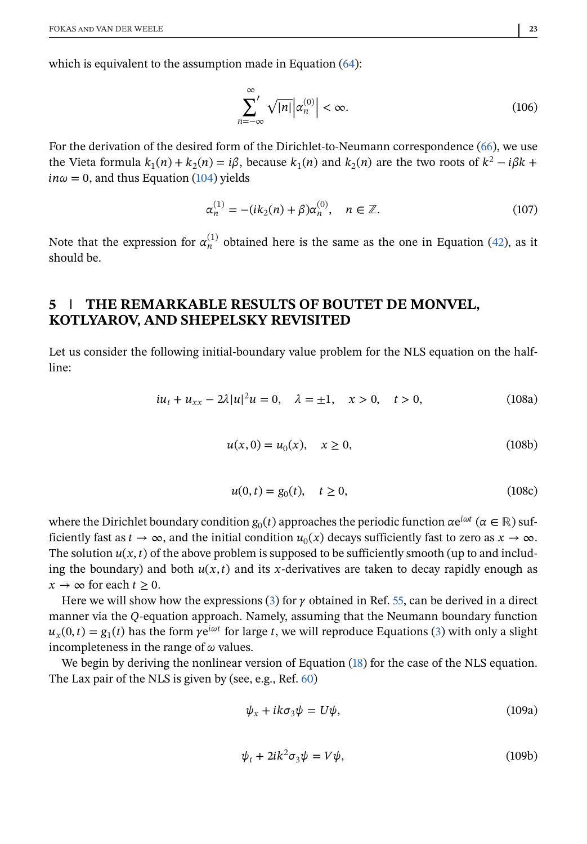<span id="page-22-0"></span>which is equivalent to the assumption made in Equation [\(64\)](#page-13-0):

$$
\sum_{n=-\infty}^{\infty} \sqrt{|n|} \left| \alpha_n^{(0)} \right| < \infty. \tag{106}
$$

For the derivation of the desired form of the Dirichlet-to-Neumann correspondence [\(66\)](#page-13-0), we use the Vieta formula  $k_1(n) + k_2(n) = i\beta$ , because  $k_1(n)$  and  $k_2(n)$  are the two roots of  $k^2 - i\beta k$  +  $in\omega = 0$ , and thus Equation [\(104\)](#page-21-0) yields

$$
\alpha_n^{(1)} = -(ik_2(n) + \beta)\alpha_n^{(0)}, \quad n \in \mathbb{Z}.
$$
 (107)

Note that the expression for  $\alpha_n^{(1)}$  obtained here is the same as the one in Equation [\(42\)](#page-9-0), as it should be.

## **5 THE REMARKABLE RESULTS OF BOUTET DE MONVEL, KOTLYAROV, AND SHEPELSKY REVISITED**

Let us consider the following initial-boundary value problem for the NLS equation on the halfline:

$$
iu_t + u_{xx} - 2\lambda |u|^2 u = 0, \quad \lambda = \pm 1, \quad x > 0, \quad t > 0,
$$
 (108a)

$$
u(x,0) = u_0(x), \quad x \ge 0,
$$
\n(108b)

$$
u(0,t) = g_0(t), \quad t \ge 0,
$$
\n(108c)

where the Dirichlet boundary condition  $g_0(t)$  approaches the periodic function  $\alpha e^{i\omega t}$  ( $\alpha \in \mathbb{R}$ ) sufficiently fast as  $t \to \infty$ , and the initial condition  $u_0(x)$  decays sufficiently fast to zero as  $x \to \infty$ . The solution  $u(x, t)$  of the above problem is supposed to be sufficiently smooth (up to and including the boundary) and both  $u(x, t)$  and its x-derivatives are taken to decay rapidly enough as  $x \to \infty$  for each  $t \geq 0$ .

Here we will show how the expressions [\(3\)](#page-3-0) for  $\gamma$  obtained in Ref. [55,](#page-29-0) can be derived in a direct manner via the Q-equation approach. Namely, assuming that the Neumann boundary function  $u_r(0, t) = g_1(t)$  has the form  $\gamma e^{i\omega t}$  for large t, we will reproduce Equations [\(3\)](#page-3-0) with only a slight incompleteness in the range of  $\omega$  values.

We begin by deriving the nonlinear version of Equation [\(18\)](#page-5-0) for the case of the NLS equation. The Lax pair of the NLS is given by (see, e.g., Ref. [60\)](#page-29-0)

$$
\psi_x + ik\sigma_3 \psi = U\psi, \tag{109a}
$$

$$
\psi_t + 2ik^2 \sigma_3 \psi = V\psi, \tag{109b}
$$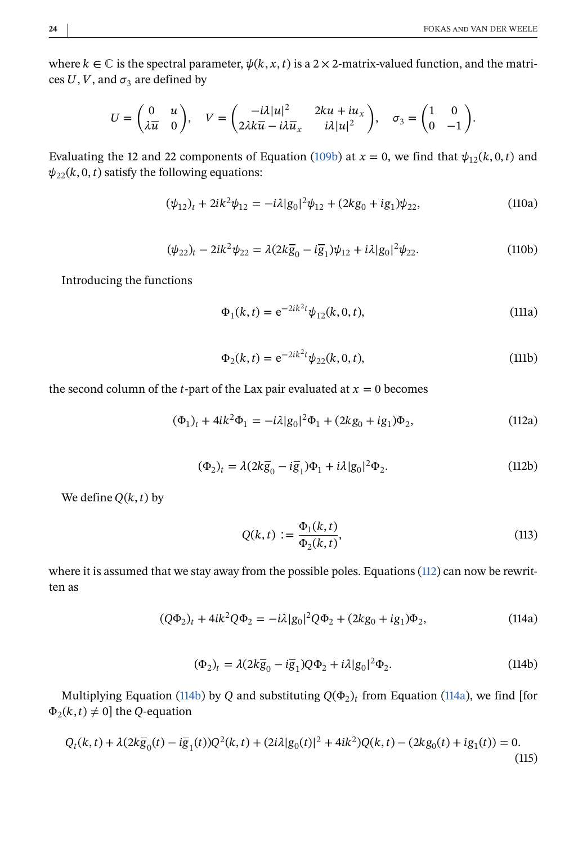.

<span id="page-23-0"></span>where  $k \in \mathbb{C}$  is the spectral parameter,  $\psi(k, x, t)$  is a 2 × 2-matrix-valued function, and the matrices U, V, and  $\sigma_3$  are defined by

$$
U = \begin{pmatrix} 0 & u \\ \lambda \overline{u} & 0 \end{pmatrix}, \quad V = \begin{pmatrix} -i\lambda |u|^2 & 2ku + iu_x \\ 2\lambda k \overline{u} - i\lambda \overline{u}_x & i\lambda |u|^2 \end{pmatrix}, \quad \sigma_3 = \begin{pmatrix} 1 & 0 \\ 0 & -1 \end{pmatrix}
$$

Evaluating the 12 and 22 components of Equation [\(109b\)](#page-22-0) at  $x = 0$ , we find that  $\psi_{12}(k, 0, t)$  and  $\psi_{22}(k, 0, t)$  satisfy the following equations:

$$
(\psi_{12})_t + 2ik^2\psi_{12} = -i\lambda|g_0|^2\psi_{12} + (2kg_0 + ig_1)\psi_{22},
$$
\n(110a)

$$
(\psi_{22})_t - 2ik^2\psi_{22} = \lambda(2k\overline{g}_0 - i\overline{g}_1)\psi_{12} + i\lambda|g_0|^2\psi_{22}.
$$
 (110b)

Introducing the functions

$$
\Phi_1(k,t) = e^{-2ik^2t} \psi_{12}(k,0,t),
$$
\n(111a)

$$
\Phi_2(k,t) = e^{-2ik^2t} \psi_{22}(k,0,t),
$$
\n(111b)

the second column of the *t*-part of the Lax pair evaluated at  $x = 0$  becomes

$$
(\Phi_1)_t + 4ik^2\Phi_1 = -i\lambda|g_0|^2\Phi_1 + (2kg_0 + ig_1)\Phi_2,\tag{112a}
$$

$$
(\Phi_2)_t = \lambda (2k\overline{g}_0 - i\overline{g}_1)\Phi_1 + i\lambda |g_0|^2 \Phi_2.
$$
 (112b)

We define  $Q(k, t)$  by

$$
Q(k,t) := \frac{\Phi_1(k,t)}{\Phi_2(k,t)},
$$
\n(113)

where it is assumed that we stay away from the possible poles. Equations [\(112\)](#page-22-0) can now be rewritten as

$$
(Q\Phi_2)_t + 4ik^2Q\Phi_2 = -i\lambda|g_0|^2Q\Phi_2 + (2kg_0 + ig_1)\Phi_2,
$$
\n(114a)

$$
(\Phi_2)_t = \lambda (2k\overline{g}_0 - i\overline{g}_1)Q\Phi_2 + i\lambda |g_0|^2 \Phi_2.
$$
 (114b)

Multiplying Equation (114b) by Q and substituting  $Q(\Phi_2)_t$  from Equation (114a), we find [for  $\Phi_2(k, t) \neq 0$ ] the Q-equation

$$
Q_t(k,t) + \lambda(2k\overline{g}_0(t) - i\overline{g}_1(t))Q^2(k,t) + (2i\lambda|g_0(t)|^2 + 4ik^2)Q(k,t) - (2kg_0(t) + ig_1(t)) = 0.
$$
\n(115)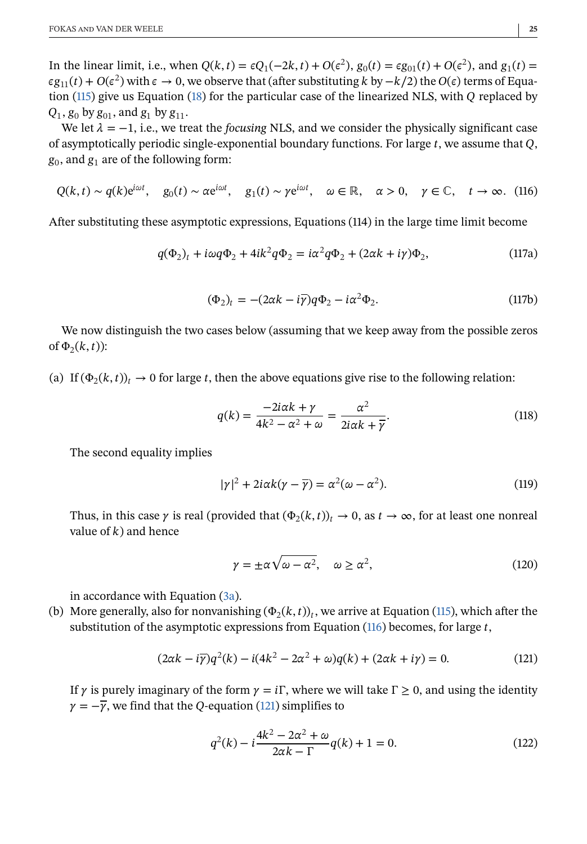<span id="page-24-0"></span>In the linear limit, i.e., when  $Q(k, t) = \epsilon Q_1(-2k, t) + O(\epsilon^2)$ ,  $g_0(t) = \epsilon g_{01}(t) + O(\epsilon^2)$ , and  $g_1(t) =$  $\epsilon g_{11}(t) + O(\epsilon^2)$  with  $\epsilon \to 0$ , we observe that (after substituting k by  $-k/2$ ) the  $O(\epsilon)$  terms of Equa-tion [\(115\)](#page-23-0) give us Equation [\(18\)](#page-5-0) for the particular case of the linearized NLS, with  $Q$  replaced by  $Q_1$ ,  $g_0$  by  $g_{01}$ , and  $g_1$  by  $g_{11}$ .

We let  $\lambda = -1$ , i.e., we treat the *focusing* NLS, and we consider the physically significant case of asymptotically periodic single-exponential boundary functions. For large  $t$ , we assume that  $Q$ ,  $g_0$ , and  $g_1$  are of the following form:

$$
Q(k,t) \sim q(k)e^{i\omega t}, \quad g_0(t) \sim \alpha e^{i\omega t}, \quad g_1(t) \sim \gamma e^{i\omega t}, \quad \omega \in \mathbb{R}, \quad \alpha > 0, \quad \gamma \in \mathbb{C}, \quad t \to \infty.
$$
 (116)

After substituting these asymptotic expressions, Equations (114) in the large time limit become

$$
q(\Phi_2)_t + i\omega q \Phi_2 + 4ik^2 q \Phi_2 = i\alpha^2 q \Phi_2 + (2\alpha k + i\gamma)\Phi_2,
$$
\n(117a)

$$
(\Phi_2)_t = -(2\alpha k - i\overline{\gamma})q\Phi_2 - i\alpha^2 \Phi_2.
$$
 (117b)

We now distinguish the two cases below (assuming that we keep away from the possible zeros of  $\Phi_2(k, t)$ :

(a) If  $(\Phi_2(k, t))_t \to 0$  for large t, then the above equations give rise to the following relation:

$$
q(k) = \frac{-2i\alpha k + \gamma}{4k^2 - \alpha^2 + \omega} = \frac{\alpha^2}{2i\alpha k + \overline{\gamma}}.
$$
\n(118)

The second equality implies

$$
|\gamma|^2 + 2i\alpha k(\gamma - \overline{\gamma}) = \alpha^2(\omega - \alpha^2). \tag{119}
$$

Thus, in this case  $\gamma$  is real (provided that  $(\Phi_2(k, t))_t \to 0$ , as  $t \to \infty$ , for at least one nonreal value of  $k$ ) and hence

$$
\gamma = \pm \alpha \sqrt{\omega - \alpha^2}, \quad \omega \ge \alpha^2,
$$
 (120)

in accordance with Equation [\(3a\)](#page-2-0).

(b) More generally, also for nonvanishing  $(\Phi_2(k, t))_t$ , we arrive at Equation [\(115\)](#page-23-0), which after the substitution of the asymptotic expressions from Equation  $(116)$  becomes, for large t,

$$
(2\alpha k - i\overline{\gamma})q^2(k) - i(4k^2 - 2\alpha^2 + \omega)q(k) + (2\alpha k + i\gamma) = 0.
$$
 (121)

If  $\gamma$  is purely imaginary of the form  $\gamma = i\Gamma$ , where we will take  $\Gamma \ge 0$ , and using the identity  $\gamma = -\overline{\gamma}$ , we find that the Q-equation (121) simplifies to

$$
q^{2}(k) - i\frac{4k^{2} - 2\alpha^{2} + \omega}{2\alpha k - \Gamma}q(k) + 1 = 0.
$$
 (122)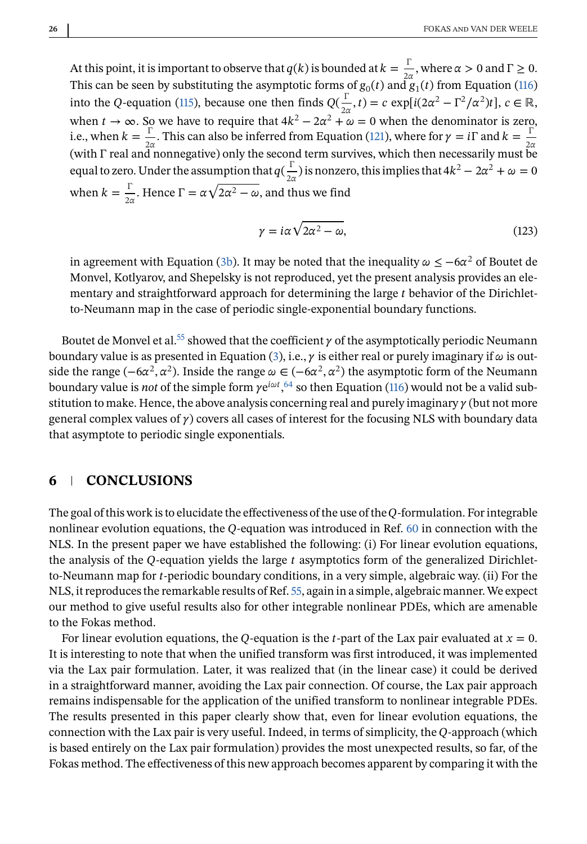At this point, it is important to observe that  $q(k)$  is bounded at  $k = \frac{\Gamma}{2\alpha}$ , where  $\alpha > 0$  and  $\Gamma \ge 0$ . This can be seen by substituting the asymptotic forms of  $g_0(t)$  and  $\ddot{g}_1(t)$  from Equation [\(116\)](#page-24-0) into the Q-equation [\(115\)](#page-23-0), because one then finds  $Q(\frac{\Gamma}{2\alpha}, t) = c \exp[i(2\alpha^2 - \Gamma^2/\alpha^2)t]$ ,  $c \in \mathbb{R}$ , when  $t \to \infty$ . So we have to require that  $4k^2 - 2\alpha^2 + \omega = 0$  when the denominator is zero, i.e., when  $k = \frac{\Gamma}{2\alpha}$ . This can also be inferred from Equation [\(121\)](#page-24-0), where for  $\gamma = i\Gamma$  and  $k = \frac{\Gamma^2}{2\alpha}$  (with  $\Gamma$  real and nonnegative) only the second term survives, which then necessarily must be equal to zero. Under the assumption that  $q(\frac{\Gamma}{2\alpha})$  is nonzero, this implies that  $4k^2 - 2\alpha^2 + \omega = 0$ when  $k = \frac{\Gamma}{2\alpha}$ . Hence  $\Gamma = \alpha \sqrt{2\alpha^2 - \omega}$ , and thus we find

$$
\gamma = i\alpha \sqrt{2\alpha^2 - \omega},\tag{123}
$$

in agreement with Equation [\(3b\)](#page-2-0). It may be noted that the inequality  $\omega \le -6\alpha^2$  of Boutet de Monvel, Kotlyarov, and Shepelsky is not reproduced, yet the present analysis provides an elementary and straightforward approach for determining the large  $t$  behavior of the Dirichletto-Neumann map in the case of periodic single-exponential boundary functions.

Boutet de Monvel et al.<sup>55</sup> showed that the coefficient  $\gamma$  of the asymptotically periodic Neumann boundary value is as presented in Equation [\(3\)](#page-2-0), i.e.,  $\gamma$  is either real or purely imaginary if  $\omega$  is outside the range  $(-6\alpha^2, \alpha^2)$ . Inside the range  $\omega \in (-6\alpha^2, \alpha^2)$  the asymptotic form of the Neumann boundary value is *not* of the simple form  $\gamma e^{i\omega t}$ ,  $^{64}$  $^{64}$  $^{64}$  so then Equation [\(116\)](#page-24-0) would not be a valid substitution to make. Hence, the above analysis concerning real and purely imaginary  $\gamma$  (but not more general complex values of  $\gamma$ ) covers all cases of interest for the focusing NLS with boundary data that asymptote to periodic single exponentials.

### **6 CONCLUSIONS**

The goal of this work is to elucidate the effectiveness of the use of the Q-formulation. For integrable nonlinear evolution equations, the  $Q$ -equation was introduced in Ref. [60](#page-29-0) in connection with the NLS. In the present paper we have established the following: (i) For linear evolution equations, the analysis of the  $Q$ -equation yields the large  $t$  asymptotics form of the generalized Dirichletto-Neumann map for  $t$ -periodic boundary conditions, in a very simple, algebraic way. (ii) For the NLS, it reproduces the remarkable results of Ref. [55,](#page-29-0) again in a simple, algebraic manner.We expect our method to give useful results also for other integrable nonlinear PDEs, which are amenable to the Fokas method.

For linear evolution equations, the Q-equation is the t-part of the Lax pair evaluated at  $x = 0$ . It is interesting to note that when the unified transform was first introduced, it was implemented via the Lax pair formulation. Later, it was realized that (in the linear case) it could be derived in a straightforward manner, avoiding the Lax pair connection. Of course, the Lax pair approach remains indispensable for the application of the unified transform to nonlinear integrable PDEs. The results presented in this paper clearly show that, even for linear evolution equations, the connection with the Lax pair is very useful. Indeed, in terms of simplicity, the Q-approach (which is based entirely on the Lax pair formulation) provides the most unexpected results, so far, of the Fokas method. The effectiveness of this new approach becomes apparent by comparing it with the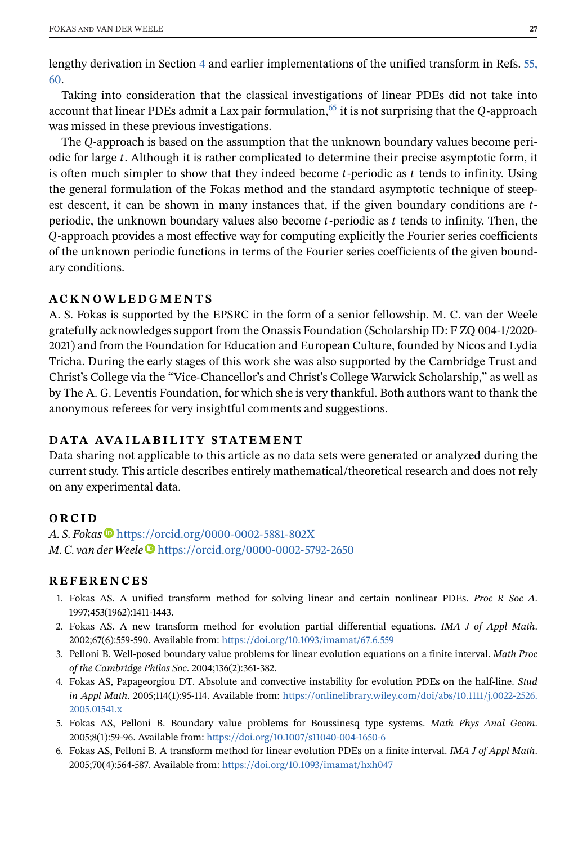<span id="page-26-0"></span>lengthy derivation in Section [4](#page-13-0) and earlier implementations of the unified transform in Refs. [55,](#page-29-0) [60.](#page-29-0)

Taking into consideration that the classical investigations of linear PDEs did not take into account that linear PDEs admit a Lax pair formulation,  $^{65}$  it is not surprising that the O-approach was missed in these previous investigations.

The Q-approach is based on the assumption that the unknown boundary values become periodic for large . Although it is rather complicated to determine their precise asymptotic form, it is often much simpler to show that they indeed become *t*-periodic as  $t$  tends to infinity. Using the general formulation of the Fokas method and the standard asymptotic technique of steepest descent, it can be shown in many instances that, if the given boundary conditions are  $t$ periodic, the unknown boundary values also become  $t$ -periodic as  $t$  tends to infinity. Then, the -approach provides a most effective way for computing explicitly the Fourier series coefficients of the unknown periodic functions in terms of the Fourier series coefficients of the given boundary conditions.

#### **ACKNOWLEDGMENTS**

A. S. Fokas is supported by the EPSRC in the form of a senior fellowship. M. C. van der Weele gratefully acknowledges support from the Onassis Foundation (Scholarship ID: F ZQ 004-1/2020- 2021) and from the Foundation for Education and European Culture, founded by Nicos and Lydia Tricha. During the early stages of this work she was also supported by the Cambridge Trust and Christ's College via the "Vice-Chancellor's and Christ's College Warwick Scholarship," as well as by The A. G. Leventis Foundation, for which she is very thankful. Both authors want to thank the anonymous referees for very insightful comments and suggestions.

#### **DATA AVAILABILITY STATEMENT**

Data sharing not applicable to this article as no data sets were generated or analyzed during the current study. This article describes entirely mathematical/theoretical research and does not rely on any experimental data.

#### **ORCID**

*A. S. Fokas* <https://orcid.org/0000-0002-5881-802X> *M. C. van derWeele* <https://orcid.org/0000-0002-5792-2650>

#### **REFERENCES**

- 1. Fokas AS. A unified transform method for solving linear and certain nonlinear PDEs. *Proc R Soc A*. 1997;453(1962):1411-1443.
- 2. Fokas AS. A new transform method for evolution partial differential equations. *IMA J of Appl Math*. 2002;67(6):559-590. Available from: <https://doi.org/10.1093/imamat/67.6.559>
- 3. Pelloni B. Well-posed boundary value problems for linear evolution equations on a finite interval. *Math Proc of the Cambridge Philos Soc*. 2004;136(2):361-382.
- 4. Fokas AS, Papageorgiou DT. Absolute and convective instability for evolution PDEs on the half-line. *Stud in Appl Math*. 2005;114(1):95-114. Available from: [https://onlinelibrary.wiley.com/doi/abs/10.1111/j.0022-2526.](https://onlinelibrary.wiley.com/doi/abs/10.1111/j.0022-2526.2005.01541.x) [2005.01541.x](https://onlinelibrary.wiley.com/doi/abs/10.1111/j.0022-2526.2005.01541.x)
- 5. Fokas AS, Pelloni B. Boundary value problems for Boussinesq type systems. *Math Phys Anal Geom*. 2005;8(1):59-96. Available from: <https://doi.org/10.1007/s11040-004-1650-6>
- 6. Fokas AS, Pelloni B. A transform method for linear evolution PDEs on a finite interval. *IMA J of Appl Math*. 2005;70(4):564-587. Available from: <https://doi.org/10.1093/imamat/hxh047>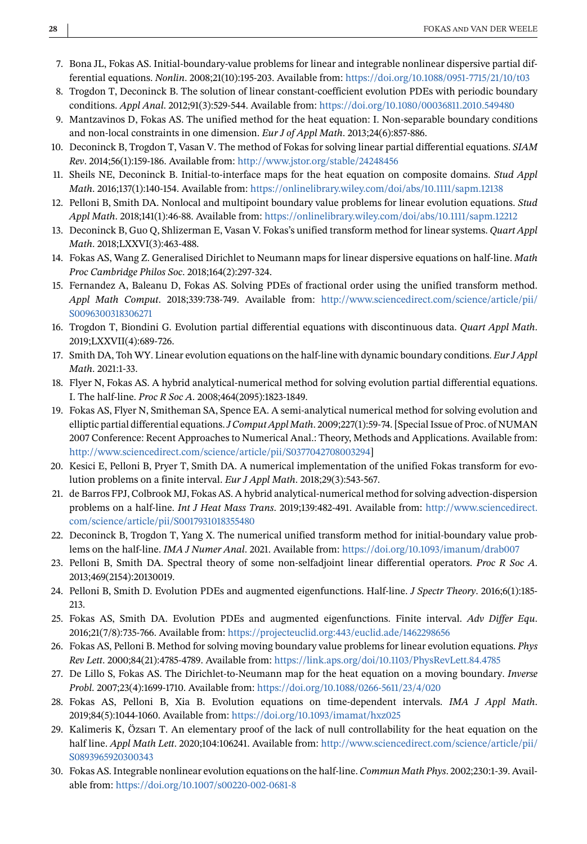- <span id="page-27-0"></span>7. Bona JL, Fokas AS. Initial-boundary-value problems for linear and integrable nonlinear dispersive partial differential equations. *Nonlin*. 2008;21(10):195-203. Available from: <https://doi.org/10.1088/0951-7715/21/10/t03>
- 8. Trogdon T, Deconinck B. The solution of linear constant-coefficient evolution PDEs with periodic boundary conditions. *Appl Anal*. 2012;91(3):529-544. Available from: <https://doi.org/10.1080/00036811.2010.549480>
- 9. Mantzavinos D, Fokas AS. The unified method for the heat equation: I. Non-separable boundary conditions and non-local constraints in one dimension. *Eur J of Appl Math*. 2013;24(6):857-886.
- 10. Deconinck B, Trogdon T, Vasan V. The method of Fokas for solving linear partial differential equations. *SIAM Rev*. 2014;56(1):159-186. Available from: <http://www.jstor.org/stable/24248456>
- 11. Sheils NE, Deconinck B. Initial-to-interface maps for the heat equation on composite domains. *Stud Appl Math*. 2016;137(1):140-154. Available from: <https://onlinelibrary.wiley.com/doi/abs/10.1111/sapm.12138>
- 12. Pelloni B, Smith DA. Nonlocal and multipoint boundary value problems for linear evolution equations. *Stud Appl Math*. 2018;141(1):46-88. Available from: <https://onlinelibrary.wiley.com/doi/abs/10.1111/sapm.12212>
- 13. Deconinck B, Guo Q, Shlizerman E, Vasan V. Fokas's unified transform method for linear systems. *Quart Appl Math*. 2018;LXXVI(3):463-488.
- 14. Fokas AS, Wang Z. Generalised Dirichlet to Neumann maps for linear dispersive equations on half-line. *Math Proc Cambridge Philos Soc*. 2018;164(2):297-324.
- 15. Fernandez A, Baleanu D, Fokas AS. Solving PDEs of fractional order using the unified transform method. *Appl Math Comput*. 2018;339:738-749. Available from: [http://www.sciencedirect.com/science/article/pii/](http://www.sciencedirect.com/science/article/pii/S0096300318306271) [S0096300318306271](http://www.sciencedirect.com/science/article/pii/S0096300318306271)
- 16. Trogdon T, Biondini G. Evolution partial differential equations with discontinuous data. *Quart Appl Math*. 2019;LXXVII(4):689-726.
- 17. Smith DA, Toh WY. Linear evolution equations on the half-line with dynamic boundary conditions. *Eur J Appl Math*. 2021:1-33.
- 18. Flyer N, Fokas AS. A hybrid analytical-numerical method for solving evolution partial differential equations. I. The half-line. *Proc R Soc A*. 2008;464(2095):1823-1849.
- 19. Fokas AS, Flyer N, Smitheman SA, Spence EA. A semi-analytical numerical method for solving evolution and elliptic partial differential equations.*J Comput Appl Math*. 2009;227(1):59-74. [Special Issue of Proc. of NUMAN 2007 Conference: Recent Approaches to Numerical Anal.: Theory, Methods and Applications. Available from: [http://www.sciencedirect.com/science/article/pii/S0377042708003294\]](http://www.sciencedirect.com/science/article/pii/S0377042708003294)
- 20. Kesici E, Pelloni B, Pryer T, Smith DA. A numerical implementation of the unified Fokas transform for evolution problems on a finite interval. *Eur J Appl Math*. 2018;29(3):543-567.
- 21. de Barros FPJ, Colbrook MJ, Fokas AS. A hybrid analytical-numerical method for solving advection-dispersion problems on a half-line. *Int J Heat Mass Trans*. 2019;139:482-491. Available from: [http://www.sciencedirect.](http://www.sciencedirect.com/science/article/pii/S0017931018355480) [com/science/article/pii/S0017931018355480](http://www.sciencedirect.com/science/article/pii/S0017931018355480)
- 22. Deconinck B, Trogdon T, Yang X. The numerical unified transform method for initial-boundary value problems on the half-line. *IMA J Numer Anal*. 2021. Available from: <https://doi.org/10.1093/imanum/drab007>
- 23. Pelloni B, Smith DA. Spectral theory of some non-selfadjoint linear differential operators. *Proc R Soc A*. 2013;469(2154):20130019.
- 24. Pelloni B, Smith D. Evolution PDEs and augmented eigenfunctions. Half-line. *J Spectr Theory*. 2016;6(1):185- 213.
- 25. Fokas AS, Smith DA. Evolution PDEs and augmented eigenfunctions. Finite interval. *Adv Differ Equ*. 2016;21(7/8):735-766. Available from: <https://projecteuclid.org:443/euclid.ade/1462298656>
- 26. Fokas AS, Pelloni B. Method for solving moving boundary value problems for linear evolution equations. *Phys Rev Lett*. 2000;84(21):4785-4789. Available from: <https://link.aps.org/doi/10.1103/PhysRevLett.84.4785>
- 27. De Lillo S, Fokas AS. The Dirichlet-to-Neumann map for the heat equation on a moving boundary. *Inverse Probl*. 2007;23(4):1699-1710. Available from: <https://doi.org/10.1088/0266-5611/23/4/020>
- 28. Fokas AS, Pelloni B, Xia B. Evolution equations on time-dependent intervals. *IMA J Appl Math*. 2019;84(5):1044-1060. Available from: <https://doi.org/10.1093/imamat/hxz025>
- 29. Kalimeris K, Özsarı T. An elementary proof of the lack of null controllability for the heat equation on the half line. *Appl Math Lett*. 2020;104:106241. Available from: [http://www.sciencedirect.com/science/article/pii/](http://www.sciencedirect.com/science/article/pii/S0893965920300343) [S0893965920300343](http://www.sciencedirect.com/science/article/pii/S0893965920300343)
- 30. Fokas AS. Integrable nonlinear evolution equations on the half-line. *Commun Math Phys*. 2002;230:1-39. Available from: <https://doi.org/10.1007/s00220-002-0681-8>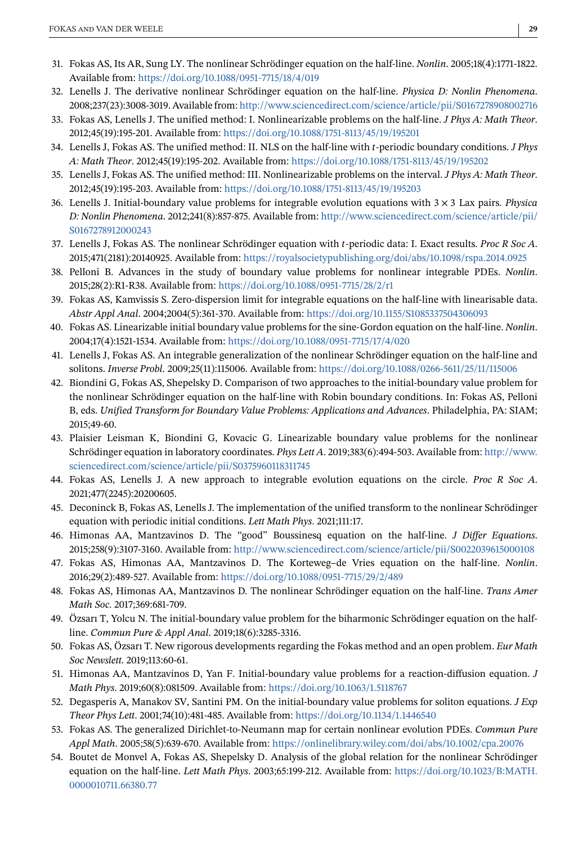- <span id="page-28-0"></span>31. Fokas AS, Its AR, Sung LY. The nonlinear Schrödinger equation on the half-line. *Nonlin*. 2005;18(4):1771-1822. Available from: <https://doi.org/10.1088/0951-7715/18/4/019>
- 32. Lenells J. The derivative nonlinear Schrödinger equation on the half-line. *Physica D: Nonlin Phenomena*. 2008;237(23):3008-3019. Available from: <http://www.sciencedirect.com/science/article/pii/S0167278908002716>
- 33. Fokas AS, Lenells J. The unified method: I. Nonlinearizable problems on the half-line. *J Phys A: Math Theor*. 2012;45(19):195-201. Available from: <https://doi.org/10.1088/1751-8113/45/19/195201>
- 34. Lenells J, Fokas AS. The unified method: II. NLS on the half-line with -periodic boundary conditions. *J Phys A: Math Theor*. 2012;45(19):195-202. Available from: <https://doi.org/10.1088/1751-8113/45/19/195202>
- 35. Lenells J, Fokas AS. The unified method: III. Nonlinearizable problems on the interval. *J Phys A: Math Theor*. 2012;45(19):195-203. Available from: <https://doi.org/10.1088/1751-8113/45/19/195203>
- 36. Lenells J. Initial-boundary value problems for integrable evolution equations with 3×3 Lax pairs. *Physica D: Nonlin Phenomena*. 2012;241(8):857-875. Available from: [http://www.sciencedirect.com/science/article/pii/](http://www.sciencedirect.com/science/article/pii/S0167278912000243) [S0167278912000243](http://www.sciencedirect.com/science/article/pii/S0167278912000243)
- 37. Lenells J, Fokas AS. The nonlinear Schrödinger equation with -periodic data: I. Exact results. *Proc R Soc A*. 2015;471(2181):20140925. Available from: <https://royalsocietypublishing.org/doi/abs/10.1098/rspa.2014.0925>
- 38. Pelloni B. Advances in the study of boundary value problems for nonlinear integrable PDEs. *Nonlin*. 2015;28(2):R1-R38. Available from: <https://doi.org/10.1088/0951-7715/28/2/r1>
- 39. Fokas AS, Kamvissis S. Zero-dispersion limit for integrable equations on the half-line with linearisable data. *Abstr Appl Anal*. 2004;2004(5):361-370. Available from: <https://doi.org/10.1155/S1085337504306093>
- 40. Fokas AS. Linearizable initial boundary value problems for the sine-Gordon equation on the half-line. *Nonlin*. 2004;17(4):1521-1534. Available from: <https://doi.org/10.1088/0951-7715/17/4/020>
- 41. Lenells J, Fokas AS. An integrable generalization of the nonlinear Schrödinger equation on the half-line and solitons. *Inverse Probl*. 2009;25(11):115006. Available from: <https://doi.org/10.1088/0266-5611/25/11/115006>
- 42. Biondini G, Fokas AS, Shepelsky D. Comparison of two approaches to the initial-boundary value problem for the nonlinear Schrödinger equation on the half-line with Robin boundary conditions. In: Fokas AS, Pelloni B, eds. *Unified Transform for Boundary Value Problems: Applications and Advances*. Philadelphia, PA: SIAM; 2015;49-60.
- 43. Plaisier Leisman K, Biondini G, Kovacic G. Linearizable boundary value problems for the nonlinear Schrödinger equation in laboratory coordinates. *Phys Lett A*. 2019;383(6):494-503. Available from: [http://www.](http://www.sciencedirect.com/science/article/pii/S0375960118311745) [sciencedirect.com/science/article/pii/S0375960118311745](http://www.sciencedirect.com/science/article/pii/S0375960118311745)
- 44. Fokas AS, Lenells J. A new approach to integrable evolution equations on the circle. *Proc R Soc A*. 2021;477(2245):20200605.
- 45. Deconinck B, Fokas AS, Lenells J. The implementation of the unified transform to the nonlinear Schrödinger equation with periodic initial conditions. *Lett Math Phys*. 2021;111:17.
- 46. Himonas AA, Mantzavinos D. The "good" Boussinesq equation on the half-line. *J Differ Equations*. 2015;258(9):3107-3160. Available from: <http://www.sciencedirect.com/science/article/pii/S0022039615000108>
- 47. Fokas AS, Himonas AA, Mantzavinos D. The Korteweg–de Vries equation on the half-line. *Nonlin*. 2016;29(2):489-527. Available from: <https://doi.org/10.1088/0951-7715/29/2/489>
- 48. Fokas AS, Himonas AA, Mantzavinos D. The nonlinear Schrödinger equation on the half-line. *Trans Amer Math Soc*. 2017;369:681-709.
- 49. Özsarı T, Yolcu N. The initial-boundary value problem for the biharmonic Schrödinger equation on the halfline. *Commun Pure & Appl Anal*. 2019;18(6):3285-3316.
- 50. Fokas AS, Özsarı T. New rigorous developments regarding the Fokas method and an open problem. *Eur Math Soc Newslett*. 2019;113:60-61.
- 51. Himonas AA, Mantzavinos D, Yan F. Initial-boundary value problems for a reaction-diffusion equation. *J Math Phys*. 2019;60(8):081509. Available from: <https://doi.org/10.1063/1.5118767>
- 52. Degasperis A, Manakov SV, Santini PM. On the initial-boundary value problems for soliton equations. *J Exp Theor Phys Lett*. 2001;74(10):481-485. Available from: <https://doi.org/10.1134/1.1446540>
- 53. Fokas AS. The generalized Dirichlet-to-Neumann map for certain nonlinear evolution PDEs. *Commun Pure Appl Math*. 2005;58(5):639-670. Available from: <https://onlinelibrary.wiley.com/doi/abs/10.1002/cpa.20076>
- 54. Boutet de Monvel A, Fokas AS, Shepelsky D. Analysis of the global relation for the nonlinear Schrödinger equation on the half-line. *Lett Math Phys*. 2003;65:199-212. Available from: [https://doi.org/10.1023/B:MATH.](https://doi.org/10.1023/B:MATH.0000010711.66380.77) [0000010711.66380.77](https://doi.org/10.1023/B:MATH.0000010711.66380.77)